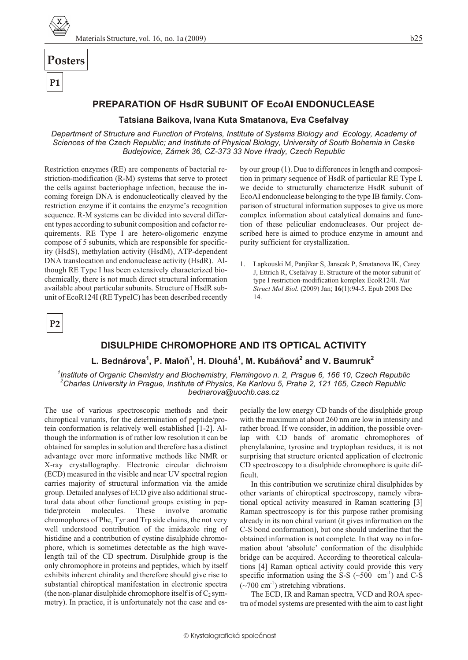

# Posters

**P1** 

### PREPARATION OF HsdR SUBUNIT OF EcoAI ENDONUCLEASE

#### Tatsiana Baikova, Ivana Kuta Smatanova, Eva Csefalvay

Department of Structure and Function of Proteins, Institute of Systems Biology and Ecology, Academy of Sciences of the Czech Republic: and Institute of Physical Biology, University of South Bohemia in Ceske Budejovice, Zámek 36, CZ-373 33 Nove Hrady, Czech Republic

Restriction enzymes (RE) are components of bacterial restriction-modification (R-M) systems that serve to protect the cells against bacteriophage infection, because the incoming foreign DNA is endonucleotically cleaved by the restriction enzyme if it contains the enzyme's recognition sequence. R-M systems can be divided into several different types according to subunit composition and cofactor requirements. RE Type I are hetero-oligomeric enzyme compose of 5 subunits, which are responsible for specificity (HsdS), methylation activity (HsdM), ATP-dependent DNA translocation and endonuclease activity (HsdR). Although RE Type I has been extensively characterized biochemically, there is not much direct structural information available about particular subunits. Structure of HsdR subunit of EcoR124I (RE TypeIC) has been described recently

by our group (1). Due to differences in length and composition in primary sequence of HsdR of particular RE Type I, we decide to structurally characterize HsdR subunit of EcoAI endonuclease belonging to the type IB family. Comparison of structural information supposes to give us more complex information about catalytical domains and function of these peliculiar endonucleases. Our project described here is aimed to produce enzyme in amount and purity sufficient for crystallization.

1. Lapkouski M. Panjikar S. Janscak P. Smatanova IK. Carev J, Ettrich R, Csefalvay E. Structure of the motor subunit of type I restriction-modification komplex EcoR124I. Nat Struct Mol Biol. (2009) Jan; 16(1):94-5. Epub 2008 Dec 14.

 $P<sub>2</sub>$ 

# **DISULPHIDE CHROMOPHORE AND ITS OPTICAL ACTIVITY**

# L. Bednárova<sup>1</sup>, P. Maloň<sup>1</sup>, H. Dlouhá<sup>1</sup>, M. Kubáňová<sup>2</sup> and V. Baumruk<sup>2</sup>

 $1$ Institute of Organic Chemistry and Biochemistry, Flemingovo n. 2, Prague 6, 166 10, Czech Republic Charles University in Prague, Institute of Physics, Ke Karlovu 5, Praha 2, 121 165, Czech Republic  $^\prime$ bednarova@uochb.cas.cz

The use of various spectroscopic methods and their chiroptical variants, for the determination of peptide/protein conformation is relatively well established [1-2]. Although the information is of rather low resolution it can be obtained for samples in solution and therefore has a distinct advantage over more informative methods like NMR or X-ray crystallography. Electronic circular dichroism (ECD) measured in the visible and near UV spectral region carries majority of structural information via the amide group. Detailed analyses of ECD give also additional structural data about other functional groups existing in peptide/protein molecules. These involve aromatic chromophores of Phe, Tyr and Trp side chains, the not very well understood contribution of the imidazole ring of histidine and a contribution of cystine disulphide chromophore, which is sometimes detectable as the high wavelength tail of the CD spectrum. Disulphide group is the only chromophore in proteins and peptides, which by itself exhibits inherent chirality and therefore should give rise to substantial chiroptical manifestation in electronic spectra (the non-planar disulphide chromophore itself is of  $C_2$  symmetry). In practice, it is unfortunately not the case and especially the low energy CD bands of the disulphide group with the maximum at about 260 nm are low in intensity and rather broad. If we consider, in addition, the possible overlap with CD bands of aromatic chromophores of phenylalanine, tyrosine and tryptophan residues, it is not surprising that structure oriented application of electronic CD spectroscopy to a disulphide chromophore is quite difficult.

In this contribution we scrutinize chiral disulphides by other variants of chiroptical spectroscopy, namely vibrational optical activity measured in Raman scattering [3] Raman spectroscopy is for this purpose rather promising already in its non chiral variant (it gives information on the C-S bond conformation), but one should underline that the obtained information is not complete. In that way no information about 'absolute' conformation of the disulphide bridge can be acquired. According to theoretical calculations [4] Raman optical activity could provide this very specific information using the S-S  $(\sim 500 \text{ cm}^{-1})$  and C-S  $({\sim}700 \text{ cm}^{-1})$  stretching vibrations.

The ECD, IR and Raman spectra, VCD and ROA spectra of model systems are presented with the aim to cast light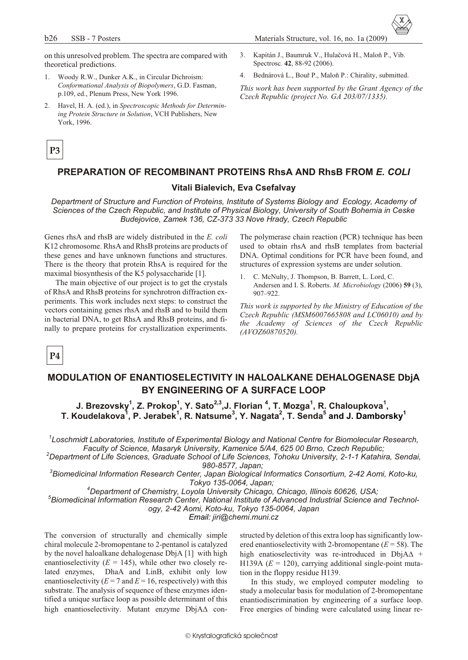Materials Structure, vol. 16, no. 1a (2009)

Spectrosc. 42, 88-92 (2006).

Kapitán J., Baumruk V., Hulačová H., Maloň P., Vib.

This work has been supported by the Grant Agency of the

4. Bednárová L., Bouř P., Maloň P.: Chirality, submitted.

Czech Republic (project No. GA 203/07/1335).

- on this unresolved problem. The spectra are compared with  $\overline{3}$ . theoretical predictions.
- 1. Woody R.W., Dunker A.K., in Circular Dichroism: Conformational Analysis of Biopolymers, G.D. Fasman, p.109, ed., Plenum Press, New York 1996.
- 2. Havel, H. A. (ed.), in Spectroscopic Methods for Determining Protein Structure in Solution, VCH Publishers, New York, 1996.

### P<sub>3</sub>

### **PREPARATION OF RECOMBINANT PROTEINS RhsA AND RhsB FROM E. COLI**

#### Vitali Bialevich, Eva Csefalvay

Department of Structure and Function of Proteins, Institute of Systems Biology and Ecology, Academy of Sciences of the Czech Republic, and Institute of Physical Biology, University of South Bohemia in Ceske Budejovice, Zamek 136, CZ-373 33 Nove Hrady, Czech Republic

Genes rhsA and rhsB are widely distributed in the E. coli K12 chromosome. RhsA and RhsB proteins are products of these genes and have unknown functions and structures. There is the theory that protein RhsA is required for the maximal biosynthesis of the K5 polysaccharide [1].

The main objective of our project is to get the crystals of RhsA and RhsB proteins for synchrotron diffraction experiments. This work includes next steps: to construct the vectors containing genes rhsA and rhsB and to build them in bacterial DNA, to get RhsA and RhsB proteins, and finally to prepare proteins for crystallization experiments.

The polymerase chain reaction (PCR) technique has been used to obtain rhsA and rhsB templates from bacterial DNA. Optimal conditions for PCR have been found, and structures of expression systems are under solution.

 $1.$ C. McNulty, J. Thompson, B. Barrett, L. Lord, C. Andersen and I. S. Roberts. M. Microbiology (2006) 59 (3),  $907 - 922$ 

This work is supported by the Ministry of Education of the Czech Republic (MSM6007665808 and LC06010) and by the Academy of Sciences of the Czech Republic (AVOZ60870520).

### P<sub>4</sub>

# MODULATION OF ENANTIOSELECTIVITY IN HALOALKANE DEHALOGENASE DbjA BY ENGINEERING OF A SURFACE LOOP

J. Brezovsky<sup>1</sup>, Z. Prokop<sup>1</sup>, Y. Sato<sup>2,3</sup>, J. Florian<sup>4</sup>, T. Mozga<sup>1</sup>, R. Chaloupkova<sup>1</sup>, T. Koudelakova<sup>1</sup>, P. Jerabek<sup>1</sup>, R. Natsume<sup>3</sup>, Y. Nagata<sup>2</sup>, T. Senda<sup>5</sup> and J. Damborsky<sup>1</sup>

Loschmidt Laboratories, Institute of Experimental Biology and National Centre for Biomolecular Research, Faculty of Science, Masaryk University, Kamenice 5/A4, 625 00 Brno, Czech Republic;

<sup>2</sup>Department of Life Sciences, Graduate School of Life Sciences, Tohoku University, 2-1-1 Katahira, Sendai, 980-8577, Japan;

<sup>3</sup>Biomedicinal Information Research Center, Japan Biological Informatics Consortium, 2-42 Aomi, Koto-ku, Tokyo 135-0064, Japan;

<sup>4</sup>Department of Chemistry, Loyola University Chicago, Chicago, Illinois 60626, USA;

<sup>5</sup>Biomedicinal Information Research Center, National Institute of Advanced Industrial Science and Technol-

ogy, 2-42 Aomi, Koto-ku, Tokyo 135-0064, Japan

Email: jiri@chemi.muni.cz

The conversion of structurally and chemically simple chiral molecule 2-bromopentane to 2-pentanol is catalyzed by the novel haloalkane dehalogenase DbjA [1] with high enantioselectivity ( $E = 145$ ), while other two closely re-DhaA and LinB, exhibit only low lated enzymes. enantioselectivity ( $E = 7$  and  $E = 16$ , respectively) with this substrate. The analysis of sequence of these enzymes identified a unique surface loop as possible determinant of this high enantioselectivity. Mutant enzyme DbjA con-

structed by deletion of this extra loop has significantly lowered enantioselectivity with 2-bromopentane ( $E = 58$ ). The high enatioselectivity was re-introduced in DbjA H139A ( $E = 120$ ), carrying additional single-point mutation in the floppy residue H139.

In this study, we employed computer modeling to study a molecular basis for modulation of 2-bromopentane enantiodiscrimination by engineering of a surface loop. Free energies of binding were calculated using linear re-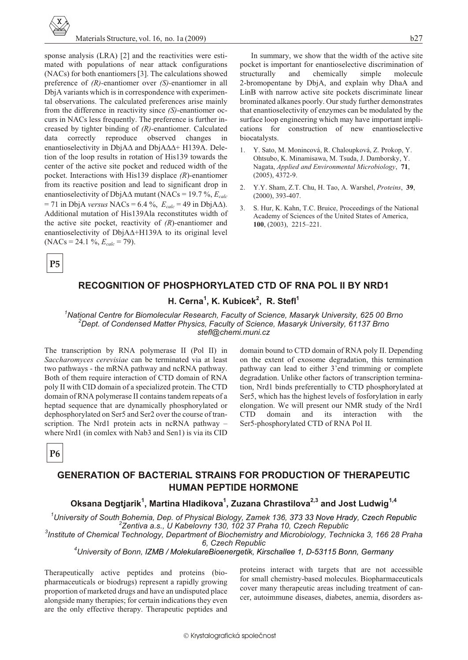

sponse analysis (LRA) [2] and the reactivities were estimated with populations of near attack configurations (NACs) for both enantiomers [3]. The calculations showed preference of  $(R)$ -enantiomer over  $(S)$ -enantiomer in all DbjA variants which is in correspondence with experimental observations. The calculated preferences arise mainly from the difference in reactivity since (S)-enantiomer occurs in NACs less frequently. The preference is further increased by tighter binding of  $(R)$ -enantiomer. Calculated correctly reproduce observed changes data  $in$ enantioselectivity in DbjA and DbjA + H139A. Deletion of the loop results in rotation of His139 towards the center of the active site pocket and reduced width of the pocket. Interactions with His139 displace  $(R)$ -enantiomer from its reactive position and lead to significant drop in enantioselectivity of DbjA mutant (NACs = 19.7 %,  $E_{calc}$  $= 71$  in DbjA versus NACs = 6.4 %,  $E_{calc} = 49$  in DbjA ). Additional mutation of His139Ala reconstitutes width of the active site pocket, reactivity of  $(R)$ -enantiomer and enantioselectivity of  $DbiA$  +H139A to its original level  $(NACs = 24.1 %$ ,  $E_{calc} = 79$ ).

In summary, we show that the width of the active site pocket is important for enantioselective discrimination of structurally and chemically simple molecule 2-bromopentane by DbjA, and explain why DhaA and LinB with narrow active site pockets discriminate linear brominated alkanes poorly. Our study further demonstrates that enantioselectivity of enzymes can be modulated by the surface loop engineering which may have important implications for construction of new enantioselective biocatalysts.

- 1. Y. Sato, M. Monincová, R. Chaloupková, Z. Prokop, Y. Ohtsubo, K. Minamisawa, M. Tsuda, J. Damborsky, Y. Nagata, Applied and Environmental Microbiology, 71,  $(2005), 4372-9.$
- $\mathcal{D}$ Y.Y. Sham, Z.T. Chu, H. Tao, A. Warshel, Proteins, 39,  $(2000), 393-407.$
- S. Hur, K. Kahn, T.C. Bruice, Proceedings of the National  $\mathfrak{Z}$ . Academy of Sciences of the United States of America,  $100, (2003), 2215 - 221.$

 $P5$ 

# **RECOGNITION OF PHOSPHORYLATED CTD OF RNA POL II BY NRD1**

H. Cerna<sup>1</sup>, K. Kubicek<sup>2</sup>, R. Stefl<sup>1</sup>

<sup>1</sup>National Centre for Biomolecular Research, Faculty of Science, Masaryk University, 625 00 Brno  $^2$ Dept. of Condensed Matter Physics, Faculty of Science, Masaryk University, 61137 Brno stefl@chemi.muni.cz

The transcription by RNA polymerase II (Pol II) in Saccharomyces cerevisiae can be terminated via at least two pathways - the mRNA pathway and ncRNA pathway. Both of them require interaction of CTD domain of RNA poly II with CID domain of a specialized protein. The CTD domain of RNA polymerase II contains tandem repeats of a heptad sequence that are dynamically phosphorylated or dephosphorylated on Ser5 and Ser2 over the course of transcription. The Nrd1 protein acts in ncRNA pathway where Nrd1 (in comlex with Nab3 and Sen1) is via its CID

domain bound to CTD domain of RNA poly II. Depending on the extent of exosome degradation, this termination pathway can lead to either 3'end trimming or complete degradation. Unlike other factors of transcription termination, Nrd1 binds preferentially to CTD phosphorylated at Ser5, which has the highest levels of fosforylation in early elongation. We will present our NMR study of the Nrd1 **CTD** domain and its interaction with the Ser5-phosphorylated CTD of RNA Pol II.

**P6** 

# **GENERATION OF BACTERIAL STRAINS FOR PRODUCTION OF THERAPEUTIC HUMAN PEPTIDE HORMONE**

# Oksana Degtjarik<sup>1</sup>, Martina Hladikova<sup>1</sup>, Zuzana Chrastilova<sup>2,3</sup> and Jost Ludwig<sup>1,4</sup>

University of South Bohemia, Dep. of Physical Biology, Zamek 136, 373 33 Nove Hrady, Czech Republic<sup>1</sup> <sup>2</sup>Zentiva a.s., U Kabelovny 130, 102 37 Praha 10, Czech Republic

<sup>3</sup>Institute of Chemical Technology, Department of Biochemistry and Microbiology, Technicka 3, 166 28 Praha 6, Czech Republic

<sup>4</sup>University of Bonn, IZMB / MolekulareBioenergetik, Kirschallee 1, D-53115 Bonn, Germany

Therapeutically active peptides and proteins (biopharmaceuticals or biodrugs) represent a rapidly growing proportion of marketed drugs and have an undisputed place alongside many therapies; for certain indications they even are the only effective therapy. Therapeutic peptides and proteins interact with targets that are not accessible for small chemistry-based molecules. Biopharmaceuticals cover many therapeutic areas including treatment of cancer, autoimmune diseases, diabetes, anemia, disorders as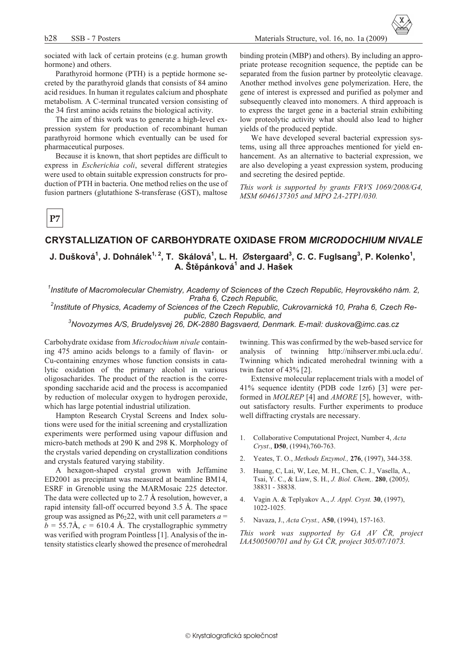sociated with lack of certain proteins (e.g. human growth hormone) and others.

Parathyroid hormone (PTH) is a peptide hormone secreted by the parathyroid glands that consists of 84 amino acid residues. In human it regulates calcium and phosphate metabolism. A C-terminal truncated version consisting of the 34 first amino acids retains the biological activity.

The aim of this work was to generate a high-level expression system for production of recombinant human parathyroid hormone which eventually can be used for pharmaceutical purposes.

Because it is known, that short peptides are difficult to express in Escherichia coli, several different strategies were used to obtain suitable expression constructs for production of PTH in bacteria. One method relies on the use of fusion partners (glutathione S-transferase (GST), maltose

binding protein (MBP) and others). By including an appropriate protease recognition sequence, the peptide can be separated from the fusion partner by proteolytic cleavage. Another method involves gene polymerization. Here, the gene of interest is expressed and purified as polymer and subsequently cleaved into monomers. A third approach is to express the target gene in a bacterial strain exhibiting low proteolytic activity what should also lead to higher yields of the produced peptide.

Materials Structure, vol. 16, no. 1a (2009)

We have developed several bacterial expression systems, using all three approaches mentioned for yield enhancement. As an alternative to bacterial expression, we are also developing a yeast expression system, producing and secreting the desired peptide.

This work is supported by grants FRVS 1069/2008/G4, MSM 6046137305 and MPO 2A-2TP1/030.

# $P7$

### CRYSTALLIZATION OF CARBOHYDRATE OXIDASE FROM *MICRODOCHIUM NIVALE*

### J. Dušková<sup>1</sup>, J. Dohnálek<sup>1, 2</sup>, T. Skálová<sup>1</sup>, L. H. Østergaard<sup>3</sup>, C. C. Fuglsang<sup>3</sup>, P. Kolenko<sup>1</sup>, A. Štěpánková<sup>1</sup> and J. Hašek

Institute of Macromolecular Chemistry, Academy of Sciences of the Czech Republic, Heyrovského nám. 2, Praha 6, Czech Republic,

<sup>2</sup>Institute of Physics, Academy of Sciences of the Czech Republic, Cukrovarnická 10, Praha 6, Czech Republic, Czech Republic, and

<sup>3</sup>Novozymes A/S, Brudelysvej 26, DK-2880 Bagsvaerd, Denmark. E-mail: duskova@imc.cas.cz

Carbohydrate oxidase from Microdochium nivale containing 475 amino acids belongs to a family of flavin- or Cu-containing enzymes whose function consists in catalytic oxidation of the primary alcohol in various oligosacharides. The product of the reaction is the corresponding saccharide acid and the process is accompanied by reduction of molecular oxygen to hydrogen peroxide, which has large potential industrial utilization.

Hampton Research Crystal Screens and Index solutions were used for the initial screening and crystallization experiments were performed using vapour diffusion and micro-batch methods at 290 K and 298 K. Morphology of the crystals varied depending on crystallization conditions and crystals featured varying stability.

A hexagon-shaped crystal grown with Jeffamine ED2001 as precipitant was measured at beamline BM14, ESRF in Grenoble using the MARMosaic 225 detector. The data were collected up to 2.7 Å resolution, however, a rapid intensity fall-off occurred beyond 3.5 Å. The space group was assigned as  $P6<sub>2</sub>22$ , with unit cell parameters  $a =$  $b = 55.7$ Å,  $c = 610.4$  Å. The crystallographic symmetry was verified with program Pointless [1]. Analysis of the intensity statistics clearly showed the presence of merohedral

twinning. This was confirmed by the web-based service for analysis of twinning http://nihserver.mbi.ucla.edu/. Twinning which indicated merohedral twinning with a twin factor of  $43\%$  [2].

Extensive molecular replacement trials with a model of 41% sequence identity (PDB code 1zr6) [3] were performed in *MOLREP* [4] and *AMORE* [5], however, without satisfactory results. Further experiments to produce well diffracting crystals are necessary.

- Collaborative Computational Project, Number 4, Acta  $\mathbf{1}$ . Cryst., D50, (1994), 760-763.
- Yeates, T. O., Methods Enzymol., 276, (1997), 344-358.  $2.$
- Huang, C, Lai, W, Lee, M. H., Chen, C. J., Vasella, A.,  $\mathcal{Z}$ Tsai, Y. C., & Liaw, S. H., J. Biol. Chem,. 280, (2005), 38831 - 38838.
- Vagin A. & Teplyakov A., J. Appl. Cryst. 30, (1997),  $\overline{4}$ . 1022-1025.
- 5. Navaza, J., Acta Cryst., A50, (1994), 157-163.

This work was supported by GA AV ČR, project IAA500500701 and by GA CR, project 305/07/1073.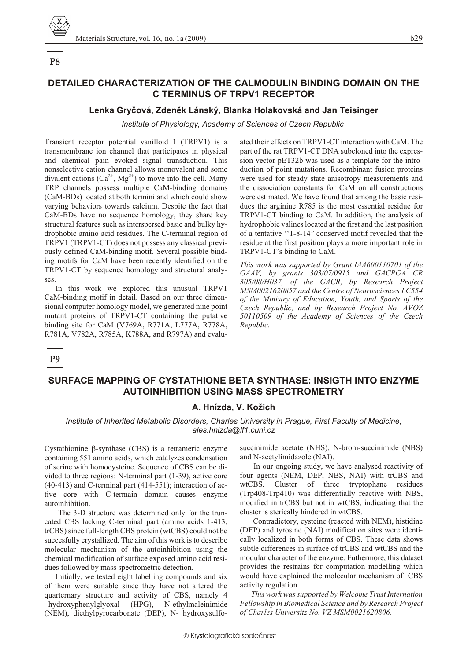# P<sub>8</sub>

# DETAILED CHARACTERIZATION OF THE CALMODULIN BINDING DOMAIN ON THE **C TERMINUS OF TRPV1 RECEPTOR**

### Lenka Gryčová, Zdeněk Lánský, Blanka Holakovská and Jan Teisinger

Institute of Physiology, Academy of Sciences of Czech Republic

Transient receptor potential vanilloid 1 (TRPV1) is a transmembrane ion channel that participates in physical and chemical pain evoked signal transduction. This nonselective cation channel allows monovalent and some divalent cations  $(Ca^{2+}, Mg^{2+})$  to move into the cell. Many TRP channels possess multiple CaM-binding domains (CaM-BDs) located at both termini and which could show varying behaviors towards calcium. Despite the fact that CaM-BDs have no sequence homology, they share key structural features such as interspersed basic and bulky hydrophobic amino acid residues. The C-terminal region of TRPV1 (TRPV1-CT) does not possess any classical previously defined CaM-binding motif. Several possible binding motifs for CaM have been recently identified on the TRPV1-CT by sequence homology and structural analyses.

In this work we explored this unusual TRPV1 CaM-binding motif in detail. Based on our three dimensional computer homology model, we generated nine point mutant proteins of TRPV1-CT containing the putative binding site for CaM (V769A, R771A, L777A, R778A, R781A, V782A, R785A, K788A, and R797A) and evaluated their effects on TRPV1-CT interaction with CaM. The part of the rat TRPV1-CT DNA subcloned into the expression vector pET32b was used as a template for the introduction of point mutations. Recombinant fusion proteins were used for steady state anisotropy measurements and the dissociation constants for CaM on all constructions were estimated. We have found that among the basic residues the arginine R785 is the most essential residue for TRPV1-CT binding to CaM. In addition, the analysis of hydrophobic valines located at the first and the last position of a tentative "1-8-14" conserved motif revealed that the residue at the first position plays a more important role in TRPV1-CT's binding to CaM.

This work was supported by Grant IAA600110701 of the GAAV, by grants 303/07/0915 and GACRGA CR 305/08/H037, of the GACR, by Research Project MSM0021620857 and the Centre of Neurosciences LC554 of the Ministry of Education, Youth, and Sports of the Czech Republic, and by Research Project No. AVOZ 50110509 of the Academy of Sciences of the Czech Republic.

P<sub>9</sub>

# SURFACE MAPPING OF CYSTATHIONE BETA SYNTHASE: INSIGTH INTO ENZYME **AUTOINHIBITION USING MASS SPECTROMETRY**

### A. Hnízda, V. Kožich

#### Institute of Inherited Metabolic Disorders, Charles University in Prague, First Faculty of Medicine, ales.hnizda@lf1.cuni.cz

Cystathionine -synthase (CBS) is a tetrameric enzyme containing 551 amino acids, which catalyzes condensation of serine with homocysteine. Sequence of CBS can be divided to three regions: N-terminal part (1-39), active core  $(40-413)$  and C-terminal part  $(414-551)$ ; interaction of active core with C-termain domain causes enzyme autoinhibition.

The 3-D structure was determined only for the truncated CBS lacking C-terminal part (amino acids 1-413, trCBS) since full-length CBS protein (wtCBS) could not be succesfully crystallized. The aim of this work is to describe molecular mechanism of the autoinhibition using the chemical modification of surface exposed amino acid residues followed by mass spectrometric detection.

Initially, we tested eight labelling compounds and six of them were suitable since they have not altered the quarternary structure and activity of CBS, namely 4 -hydroxyphenylglyoxal (HPG), N-ethylmaleinimide (NEM), diethylpyrocarbonate (DEP), N- hydroxysulfo-

succinimide acetate (NHS), N-brom-succinimide (NBS) and N-acetylimidazole (NAI).

In our ongoing study, we have analysed reactivity of four agents (NEM, DEP, NBS, NAI) with trCBS and Cluster of three tryptophane residues wtCBS. (Trp408-Trp410) was differentially reactive with NBS, modified in trCBS but not in wtCBS, indicating that the cluster is sterically hindered in wtCBS.

Contradictory, cysteine (reacted with NEM), histidine (DEP) and tyrosine (NAI) modification sites were identically localized in both forms of CBS. These data shows subtle differences in surface of trCBS and wtCBS and the modular character of the enzyme. Futhermore, this dataset provides the restrains for computation modelling which would have explained the molecular mechanism of CBS activity regulation.

This work was supported by Welcome Trust Internation Fellowship in Biomedical Science and by Research Project of Charles Universitz No. VZ MSM0021620806.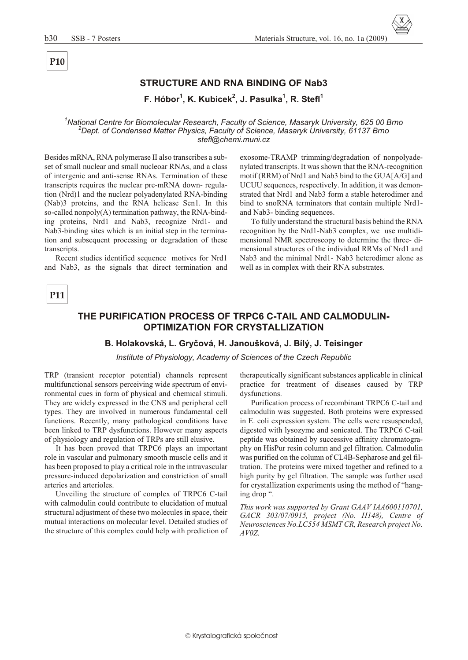# P<sub>10</sub>

# STRUCTURE AND RNA BINDING OF Nab3

F. Hóbor<sup>1</sup>, K. Kubicek<sup>2</sup>, J. Pasulka<sup>1</sup>, R. Stefl<sup>1</sup>

National Centre for Biomolecular Research, Faculty of Science, Masaryk University, 625 00 Brno <sup>2</sup>Dept. of Condensed Matter Physics, Faculty of Science, Masaryk University, 61137 Brno stefl@chemi.muni.cz

Besides mRNA, RNA polymerase II also transcribes a subset of small nuclear and small nucleoar RNAs, and a class of intergenic and anti-sense RNAs. Termination of these transcripts requires the nuclear pre-mRNA down-regulation (Nrd)1 and the nuclear polyadenylated RNA-binding (Nab)3 proteins, and the RNA helicase Sen1. In this so-called nonpoly $(A)$  termination pathway, the RNA-binding proteins, Nrd1 and Nab3, recognize Nrd1- and Nab3-binding sites which is an initial step in the termination and subsequent processing or degradation of these transcripts.

Recent studies identified sequence motives for Nrd1 and Nab3, as the signals that direct termination and

exosome-TRAMP trimming/degradation of nonpolyadenylated transcripts. It was shown that the RNA-recognition motif (RRM) of Nrd1 and Nab3 bind to the GUA[A/G] and UCUU sequences, respectively. In addition, it was demonstrated that Nrd1 and Nab3 form a stable heterodimer and bind to snoRNA terminators that contain multiple Nrd1and Nab3- binding sequences.

To fully understand the structural basis behind the RNA recognition by the Nrd1-Nab3 complex, we use multidimensional NMR spectroscopy to determine the three-dimensional structures of the individual RRMs of Nrd1 and Nab3 and the minimal Nrd1- Nab3 heterodimer alone as well as in complex with their RNA substrates.

# P11

# THE PURIFICATION PROCESS OF TRPC6 C-TAIL AND CALMODULIN-**OPTIMIZATION FOR CRYSTALLIZATION**

#### B. Holakovská, L. Gryčová, H. Janoušková, J. Bílý, J. Teisinger

Institute of Physiology, Academy of Sciences of the Czech Republic

TRP (transient receptor potential) channels represent multifunctional sensors perceiving wide spectrum of environmental cues in form of physical and chemical stimuli. They are widely expressed in the CNS and peripheral cell types. They are involved in numerous fundamental cell functions. Recently, many pathological conditions have been linked to TRP dysfunctions. However many aspects of physiology and regulation of TRPs are still elusive.

It has been proved that TRPC6 plays an important role in vascular and pulmonary smooth muscle cells and it has been proposed to play a critical role in the intravascular pressure-induced depolarization and constriction of small arteries and arterioles.

Unveiling the structure of complex of TRPC6 C-tail with calmodulin could contribute to elucidation of mutual structural adjustment of these two molecules in space, their mutual interactions on molecular level. Detailed studies of the structure of this complex could help with prediction of

therapeutically significant substances applicable in clinical practice for treatment of diseases caused by TRP dysfunctions.

Purification process of recombinant TRPC6 C-tail and calmodulin was suggested. Both proteins were expressed in E. coli expression system. The cells were resuspended, digested with lysozyme and sonicated. The TRPC6 C-tail peptide was obtained by successive affinity chromatography on HisPur resin column and gel filtration. Calmodulin was purified on the column of CL4B-Sepharose and gel filtration. The proteins were mixed together and refined to a high purity by gel filtration. The sample was further used for crystallization experiments using the method of "hanging drop ".

This work was supported by Grant GAAV IAA600110701, GACR 303/07/0915, project (No. H148), Centre of Neurosciences No.LC554 MSMT CR, Research project No. AVOZ.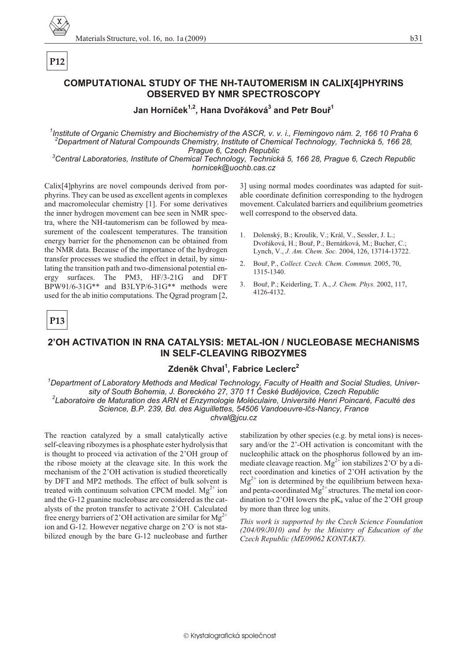#### $b31$

# **COMPUTATIONAL STUDY OF THE NH-TAUTOMERISM IN CALIX[4]PHYRINS OBSERVED BY NMR SPECTROSCOPY**

### Jan Horníček<sup>1,2</sup>, Hana Dvořáková<sup>3</sup> and Petr Bouř<sup>1</sup>

<sup>1</sup>Institute of Organic Chemistry and Biochemistry of the ASCR, v. v. i., Flemingovo nám. 2, 166 10 Praha 6 <sup>2</sup>Department of Natural Compounds Chemistry, Institute of Chemical Technology, Technická 5, 166 28, Prague 6, Czech Republic

<sup>3</sup>Central Laboratories, Institute of Chemical Technology, Technická 5, 166 28, Prague 6, Czech Republic hornicek@uochb.cas.cz

 $1.$ 

 $2^{1}$ 

 $\mathcal{E}$ 

1315-1340.

4126-4132

Calix<sup>[4]</sup>phyrins are novel compounds derived from porphyrins. They can be used as excellent agents in complexes and macromolecular chemistry [1]. For some derivatives the inner hydrogen movement can bee seen in NMR spectra, where the NH-tautomerism can be followed by measurement of the coalescent temperatures. The transition energy barrier for the phenomenon can be obtained from the NMR data. Because of the importance of the hydrogen transfer processes we studied the effect in detail, by simulating the transition path and two-dimensional potential energy surfaces. The PM3, HF/3-21G and DFT BPW91/6-31G\*\* and B3LYP/6-31G\*\* methods were used for the ab initio computations. The Qgrad program [2,

# P13

P<sub>12</sub>

# 2'OH ACTIVATION IN RNA CATALYSIS: METAL-ION / NUCLEOBASE MECHANISMS **IN SELF-CLEAVING RIBOZYMES**

### Zdeněk Chval<sup>1</sup>. Fabrice Leclerc<sup>2</sup>

 $^7$ Department of Laboratory Methods and Medical Technology, Faculty of Health and Social Studies, University of South Bohemia, J. Boreckého 27, 370 11 České Budějovice, Czech Republic <sup>2</sup>Laboratoire de Maturation des ARN et Enzymologie Moléculaire, Université Henri Poincaré, Faculté des Science, B.P. 239, Bd. des Aiguillettes, 54506 Vandoeuvre-Ičs-Nancy, France chval@jcu.cz

The reaction catalyzed by a small catalytically active self-cleaving ribozymes is a phosphate ester hydrolysis that is thought to proceed via activation of the 2'OH group of the ribose moiety at the cleavage site. In this work the mechanism of the 2'OH activation is studied theoretically by DFT and MP2 methods. The effect of bulk solvent is treated with continuum solvation CPCM model.  $Mg^{2+}$  ion and the G-12 guanine nucleobase are considered as the catalysts of the proton transfer to activate 2'OH. Calculated free energy barriers of 2'OH activation are similar for  $Mg^{2+}$ ion and G-12. However negative charge on 2'O is not stabilized enough by the bare G-12 nucleobase and further

stabilization by other species (e.g. by metal ions) is necessary and/or the 2'-OH activation is concomitant with the nucleophilic attack on the phosphorus followed by an immediate cleavage reaction.  $Mg^{2+}$  ion stabilizes 2'O' by a direct coordination and kinetics of 2'OH activation by the  $Mg^{2+}$  ion is determined by the equilibrium between hexaand penta-coordinated  $Mg^{2+}$  structures. The metal ion coordination to 2'OH lowers the  $pK_a$  value of the 2'OH group by more than three log units.

3] using normal modes coordinates was adapted for suit-

able coordinate definition corresponding to the hydrogen

movement. Calculated barriers and equilibrium geometries

Dolenský, B.; Kroulík, V.; Král, V., Sessler, J. L.;

Dvořáková, H.; Bouř, P.; Bernátková, M.; Bucher, C.;

Bouř, P., Collect. Czech. Chem. Commun. 2005, 70,

Bouř, P.; Keiderling, T. A., J. Chem. Phys. 2002, 117,

Lynch, V., J. Am. Chem. Soc. 2004, 126, 13714-13722.

well correspond to the observed data.

This work is supported by the Czech Science Foundation  $(204/09/J010)$  and by the Ministry of Education of the Czech Republic (ME09062 KONTAKT).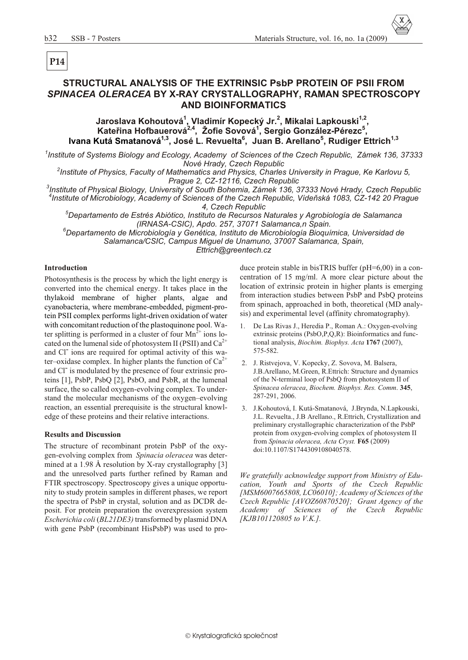# **STRUCTURAL ANALYSIS OF THE EXTRINSIC PsbP PROTEIN OF PSII FROM** *SPINACEA OLERACEA* **BY X-RAY CRYSTALLOGRAPHY, RAMAN SPECTROSCOPY AND BIOINFORMATICS**

**Jaroslava Kohoutová<sup>1</sup> , Vladimír Kopecký Jr.<sup>2</sup> , Mikalai Lapkouski1,2 , Kateøina Hofbauerová2,4, Žofie Sovová<sup>1</sup> , Sergio González-Pérezc<sup>5</sup> , Ivana Kutá Smatanová1,3, José L. Revuelta<sup>6</sup> , Juan B. Arellano<sup>5</sup> , Rudiger Ettrich1,3**

<sup>1</sup> Institute of Systems Biology and Ecology, Academy of Sciences of the Czech Republic, Zámek 136, 37333 **Nové Hrady, Czech Republic** 

<sup>2</sup> Institute of Physics, Faculty of Mathematics and Physics, Charles University in Prague, Ke Karlovu 5, *Prague 2, CZ-12116, Czech Republic* 

<sup>3</sup> Institute of Physical Biology, University of South Bohemia, Zámek 136, 37333 Nové Hrady, Czech Republic *4 In sti tute of Mi cro bi ol ogy, Acad emy of Sci ences of the Czech Re pub lic, Vídeòská 1083, CZ-142 20 Prague 4, Czech Re pub lic*

*<sup>5</sup>Departamento de Estrés Abiótico, Instituto de Recursos Naturales y Agrobiología de Salamanca (IRNASA-CSIC), Apdo. 257, 37071 Salamanca,n Spain.*

*<sup>6</sup>Departamento de Microbiología y Genética, Instituto de Microbiología Bioquímica, Universidad de Salamanca/CSIC, Campus Miguel de Unamuno, 37007 Salamanca, Spain, Ettrich@greentech.cz*

#### **Introduction**

Photosynthesis is the process by which the light energy is converted into the chemical energy. It takes place in the thylakoid membrane of higher plants, algae and cyanobacteria, where membrane-embedded, pigment-protein PSII complex performs light-driven oxidation of water with concomitant reduction of the plastoquinone pool. Water splitting is performed in a cluster of four  $Mn^{2+}$  ions located on the lumenal side of photosystem II (PSII) and  $Ca^{2+}$ and Cl<sup>-</sup> ions are required for optimal activity of this water–oxidase complex. In higher plants the function of  $Ca^{2+}$ and Cl<sup>-</sup> is modulated by the presence of four extrinsic proteins [1], PsbP, PsbQ [2], PsbO, and PsbR, at the lumenal surface, the so called oxygen-evolving complex. To understand the molecular mechanisms of the oxygen–evolving reaction, an essential prerequisite is the structural knowledge of these proteins and their relative interactions.

#### **Results and Discussion**

The structure of recombinant protein PsbP of the oxygen-evolving complex from *Spinacia oleracea* was determined at a 1.98 Å resolution by X-ray crystallography [3] and the unresolved parts further refined by Raman and FTIR spectroscopy. Spectroscopy gives a unique opportunity to study protein samples in different phases, we report the spectra of PsbP in crystal, solution and as DCDR deposit. For protein preparation the overexpression system *Escherichia coli* (*BL21DE3*) transformed by plasmid DNA with gene PsbP (recombinant HisPsbP) was used to produce protein stable in bisTRIS buffer ( $pH=6,00$ ) in a concentration of  $15 \text{ mg/ml}$ . A more clear picture about the location of extrinsic protein in higher plants is emerging from interaction studies between PsbP and PsbQ proteins from spinach, approached in both, theoretical (MD analysis) and experimental level (affinity chromatography).

- 1. De Las Rivas J., Heredia P., Roman A.: Oxygen-evolving extrinsic proteins  $(PsbO,P,Q,R)$ : Bioinformatics and functional analysis, *Biochim. Biophys. Acta* 1767 (2007), 575-582.
- 2. J. Ristvejova, V. Kopecky, Z. Sovova, M. Balsera, J.B.Arellano, M.Green, R.Ettrich: Structure and dynamics of the N-terminal loop of PsbQ from photosystem II of *Spinacea oleracea*, *Biochem. Biophys. Res. Comm*. **345**, 287-291, 2006.
- 3. J.Kohoutová, I. Kutá-Smatanová, J.Brynda, N.Lapkouski, J.L. Revuelta., J.B Arellano., R.Ettrich, Crystallization and preliminary crystallographic characterization of the PsbP protein from oxygen-evolving complex of photosystem II from *Spinacia oleracea, Acta Cryst.* **F65** (2009) doi:10.1107/S1744309108040578.

*We gratefully acknowledge support from Ministry of Edu*cation, Youth and Sports of the Czech Republic [MSM6007665808, LC06010]; Academy of Sciences of the *Czech Repub lic [AVOZ60870520]; Grant Agency of the* Academy of Sciences of the Czech Republic *[KJB101120805 to V.K.].*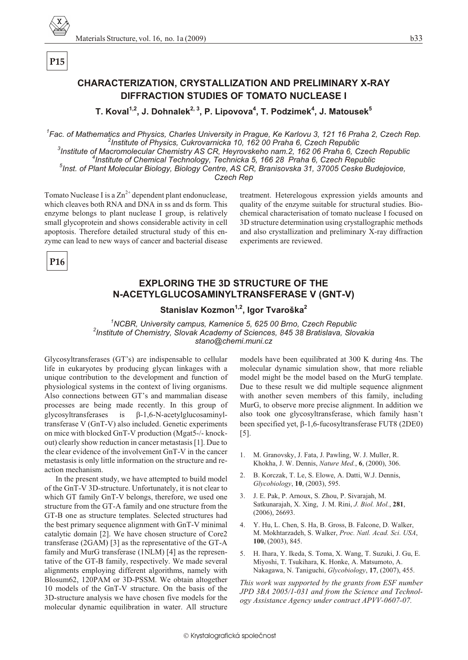

# **CHARACTERIZATION, CRYSTALLIZATION AND PRELIMINARY X-RAY DIFFRACTION STUDIES OF TOMATO NUCLEASE I**

T. Koval<sup>1,2</sup>, J. Dohnalek<sup>2, 3</sup>, P. Lipovova<sup>4</sup>, T. Podzimek<sup>4</sup>, J. Matousek<sup>5</sup>

 ${}^{7}$ Fac. of Mathematics and Physics, Charles University in Praque, Ke Karlovu 3, 121 16 Praha 2, Czech Rep. <sup>2</sup>Institute of Physics, Cukrovarnicka 10, 162 00 Praha 6, Czech Republic <sup>3</sup>Institute of Macromolecular Chemistry AS CR, Heyrovskeho nam.2, 162 06 Praha 6, Czech Republic <sup>4</sup>Institute of Chemical Technology, Technicka 5, 166 28 Praha 6, Czech Republic

<sup>5</sup>Inst. of Plant Molecular Biology, Biology Centre, AS CR, Branisovska 31, 37005 Ceske Budejovice,

Czech Rep

Tomato Nuclease I is a  $\text{Zn}^{2+}$  dependent plant endonuclease, which cleaves both RNA and DNA in ss and ds form. This enzyme belongs to plant nuclease I group, is relatively small glycoprotein and shows considerable activity in cell apoptosis. Therefore detailed structural study of this enzyme can lead to new ways of cancer and bacterial disease

treatment. Heterelogous expression yields amounts and quality of the enzyme suitable for structural studies. Biochemical characterisation of tomato nuclease I focused on 3D structure determination using crystallographic methods and also crystallization and preliminary X-ray diffraction experiments are reviewed.

P<sub>16</sub>

# **EXPLORING THE 3D STRUCTURE OF THE** N-ACETYLGLUCOSAMINYLTRANSFERASE V (GNT-V)

# Stanislav Kozmon<sup>1,2</sup>, Igor Tvaroška<sup>2</sup>

<sup>1</sup>NCBR, University campus, Kamenice 5, 625 00 Brno, Czech Republic <sup>2</sup>Institute of Chemistry, Slovak Academy of Sciences, 845 38 Bratislava, Slovakia stano@chemi.muni.cz

Glycosyltransferases (GT's) are indispensable to cellular life in eukaryotes by producing glycan linkages with a unique contribution to the development and function of physiological systems in the context of living organisms. Also connections between GT's and mammalian disease processes are being made recently. In this group of -1,6-N-acetylglucosaminylglycosyltransferases  $is$ transferase V (GnT-V) also included. Genetic experiments on mice with blocked GnT-V production (Mgat5-/- knockout) clearly show reduction in cancer metastasis [1]. Due to the clear evidence of the involvement GnT-V in the cancer metastasis is only little information on the structure and reaction mechanism.

In the present study, we have attempted to build model of the GnT-V 3D-structure. Unfortunately, it is not clear to which GT family GnT-V belongs, therefore, we used one structure from the GT-A family and one structure from the GT-B one as structure templates. Selected structures had the best primary sequence alignment with GnT-V minimal catalytic domain [2]. We have chosen structure of Core2 transferase  $(2GAM)$  [3] as the representative of the GT-A family and MurG transferase (1NLM) [4] as the representative of the GT-B family, respectively. We made several alignments employing different algorithms, namely with Blosum62, 120PAM or 3D-PSSM. We obtain altogether 10 models of the GnT-V structure. On the basis of the 3D-structure analysis we have chosen five models for the molecular dynamic equilibration in water. All structure

models have been equilibrated at 300 K during 4ns. The molecular dynamic simulation show, that more reliable model might be the model based on the MurG template. Due to these result we did multiple sequence alignment with another seven members of this family, including MurG, to observe more precise alignment. In addition we also took one glycosyltransferase, which family hasn't been specified yet, -1,6-fucosyltransferase FUT8 (2DE0)  $\lceil 5 \rceil$ .

- 1. M. Granovsky, J. Fata, J. Pawling, W. J. Muller, R. Khokha, J. W. Dennis, *Nature Med.*, 6, (2000), 306.
- $2.$ B. Korczak, T. Le, S. Elowe, A. Datti, W.J. Dennis, Glycobiology, 10, (2003), 595.
- 3. J. E. Pak, P. Arnoux, S. Zhou, P. Sivarajah, M. Satkunarajah, X. Xing, J. M. Rini, J. Biol. Mol., 281,  $(2006), 26693.$
- 4. Y. Hu, L. Chen, S. Ha, B. Gross, B. Falcone, D. Walker, M. Mokhtarzadeh, S. Walker, Proc. Natl. Acad. Sci. USA, 100, (2003), 845.
- H. Ihara, Y. Ikeda, S. Toma, X. Wang, T. Suzuki, J. Gu, E. 5. Miyoshi, T. Tsukihara, K. Honke, A. Matsumoto, A. Nakagawa, N. Taniguchi, Glycobiology, 17, (2007), 455.

This work was supported by the grants from ESF number JPD 3BA 2005/1-031 and from the Science and Technology Assistance Agency under contract APVV-0607-07.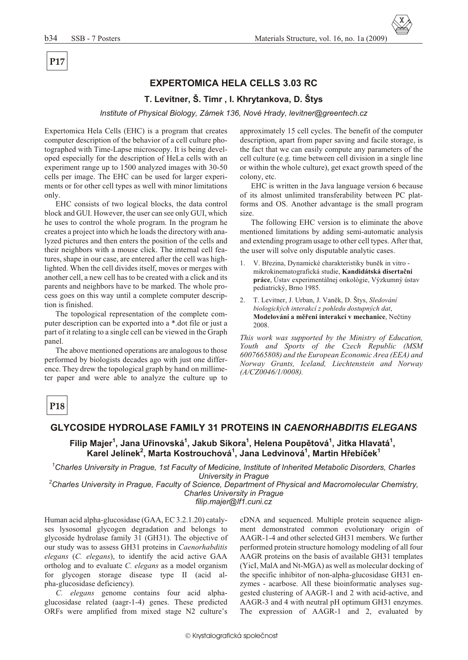# **EXPERTOMICA HELA CELLS 3.03 RC**

### **T. Levitner, Š. Timr , I. Khrytankova, D. Štys**

*Institute of Physical Biology, Zámek 136, Nové Hrady, levitner@greentech.cz* 

Expertomica Hela Cells (EHC) is a program that creates computer description of the behavior of a cell culture photo graphed with Time-Lapse microscopy. It is being developed especially for the description of HeLa cells with an experiment range up to 1500 analyzed images with 30-50 cells per image. The EHC can be used for larger experiments or for other cell types as well with minor limitations only.

EHC consists of two logical blocks, the data control block and GUI. However, the user can see only GUI, which he uses to control the whole program. In the program he creates a project into which he loads the directory with analyzed pictures and then enters the position of the cells and their neighbors with a mouse click. The internal cell features, shape in our case, are entered after the cell was highlighted. When the cell divides itself, moves or merges with another cell, a new cell has to be created with a click and its parents and neighbors have to be marked. The whole process goes on this way until a complete computer description is finished.

The topological representation of the complete computer description can be exported into a \*.dot file or just a part of it relating to a single cell can be viewed in the Graph panel.

The above mentioned operations are analogous to those performed by biologists decades ago with just one difference. They drew the topological graph by hand on millimeter paper and were able to analyze the culture up to

approximately 15 cell cycles. The benefit of the computer description, apart from paper saving and facile storage, is the fact that we can easily compute any parameters of the cell culture (e.g. time between cell division in a single line or within the whole culture), get ex act growth speed of the colony, etc.

EHC is written in the Java language version 6 because of its almost unlimited transferability between PC platforms and OS. Another advantage is the small program size.

The following EHC version is to eliminate the above mentioned limitations by adding semi-automatic analysis and extending program usage to other cell types. After that, the user will solve only disputable analytic cases.

- 1. V. Březina, Dynamické charakteristiky buněk in vitro mikrokinematografická studie, **Kandidátská disertaèní práce**, Ústav experimentálnej onkológie, Výzkumný ústav pediatrický, Brno 1985.
- 2. T. Levitner, J. Urban, J. Vaněk, D. Štys, Sledování *biologických interakcí z pohledu dostupných dat*, **Modelování a měření interakcí v mechanice**, Nečtiny 2008.

*This work was supported by the Ministry of Education,* Youth and Sports of the Czech Republic (MSM *6007665808) and the Eu ro pean Eco nomic Area (EEA) and Nor way Grants, Ice land, Liech ten stein and Nor way (A/CZ0046/1/0008).*

# **P18**

### **GLYCOSIDE HYDROLASE FAMILY 31 PROTEINS IN** *CAENORHABDITIS ELEGANS*

**Filip Majer<sup>1</sup> , Jana Uøinovská<sup>1</sup> , Jakub Sikora<sup>1</sup> , Helena Poupìtová<sup>1</sup> , Jitka Hlavatá<sup>1</sup> , Karel Jelínek<sup>2</sup> , Marta Kostrouchová<sup>1</sup> , Jana Ledvinová<sup>1</sup> , Martin Høebíèek<sup>1</sup>**

<sup>1</sup>Charles University in Prague, 1st Faculty of Medicine, Institute of Inherited Metabolic Disorders, Charles *University in Prague* 

<sup>2</sup>*Charles University in Prague, Faculty of Science, Department of Physical and Macromolecular Chemistry, Charles University in Prague* 

*filip.majer@lf1.cuni.cz*

Human acid alpha-glucosidase (GAA, EC 3.2.1.20) catalyses lysosomal glycogen degradation and belongs to glycoside hydrolase family 31 (GH31). The objective of our study was to assess GH31 proteins in *Caenorhabditis elegans* (*C. elegans*), to identify the acid active GAA ortholog and to evaluate *C. elegans* as a model organism for glycogen storage disease type II (acid alpha-glucosidase deficiency).

*C. elegans* genome contains four acid alphaglucosidase related (aagr-1-4) genes. These predicted ORFs were amplified from mixed stage N2 culture's cDNA and sequenced. Multiple protein sequence alignment demonstrated common evolutionary origin of AAGR-1-4 and other selected GH31 members. We further performed protein structure homology modeling of all four AAGR proteins on the basis of available GH31 templates (YicI, MalA and Nt-MGA) as well as molecular docking of the specific inhibitor of non-alpha-glucosidase GH31 enzymes - acarbose. All these bioinformatic analyses suggested clustering of AAGR-1 and 2 with acid-active, and AAGR-3 and 4 with neutral pH optimum GH31 enzymes. The expression of AAGR-1 and 2, evaluated by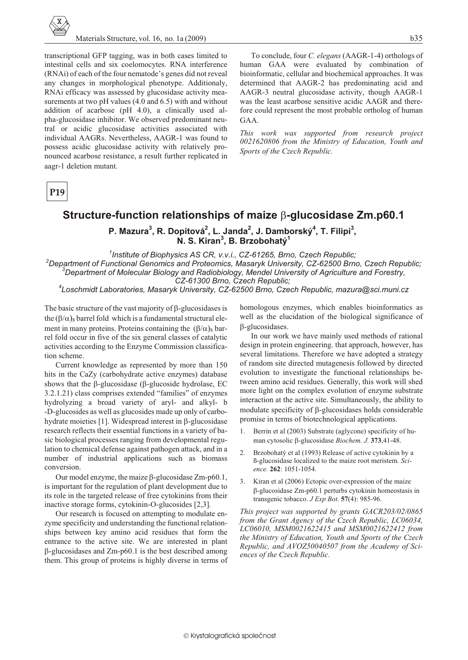

transcriptional GFP tagging, was in both cases limited to intestinal cells and six coelomocytes. RNA interference (RNAi) of each of the four nematode's genes did not reveal any changes in morphological phenotype. Additionaly, RNAi efficacy was assessed by glucosidase activity measurements at two pH values (4.0 and 6.5) with and without addition of acarbose (pH 4.0), a clinically used alpha-glucosidase inhibitor. We observed predominant neutral or acidic glucosidase activities associated with individual AAGRs. Nevertheless, AAGR-1 was found to possess acidic glucosidase activity with relatively pronounced acarbose resistance, a result further replicated in aagr-1 deletion mutant.

P<sub>19</sub>

### $b35$

To conclude, four C. elegans (AAGR-1-4) orthologs of human GAA were evaluated by combination of bioinformatic, cellular and biochemical approaches. It was determined that AAGR-2 has predominating acid and AAGR-3 neutral glucosidase activity, though AAGR-1 was the least acarbose sensitive acidic AAGR and therefore could represent the most probable ortholog of human GAA.

This work was supported from research project 0021620806 from the Ministry of Education, Youth and Sports of the Czech Republic.

# Structure-function relationships of maize -glucosidase Zm.p60.1

P. Mazura<sup>3</sup>, R. Dopitová<sup>2</sup>, L. Janda<sup>2</sup>, J. Damborský<sup>4</sup>, T. Filipi<sup>3</sup>, N. S. Kiran<sup>3</sup>, B. Brzobohatý<sup>1</sup>

<sup>1</sup>Institute of Biophysics AS CR, v.v.i., CZ-61265, Brno, Czech Republic; <sup>2</sup>Department of Functional Genomics and Proteomics, Masaryk University, CZ-62500 Brno, Czech Republic;  $^3$ Department of Molecular Biology and Radiobiology, Mendel University of Agriculture and Forestry, CZ-61300 Brno, Czech Republic;

Loschmidt Laboratories, Masaryk University, CZ-62500 Brno, Czech Republic, mazura@sci.muni.cz

The basic structure of the vast majority of -glucosidases is  $\chi$ <sub>8</sub> barrel fold which is a fundamental structural elethe ( ment in many proteins. Proteins containing the (  $\mathcal{E}_8$  barrel fold occur in five of the six general classes of catalytic activities according to the Enzyme Commission classification scheme.

Current knowledge as represented by more than 150 hits in the CaZy (carbohydrate active enzymes) database shows that the -glucosidase (-glucoside hydrolase, EC 3.2.1.21) class comprises extended "families" of enzymes hydrolyzing a broad variety of aryl- and alkyl- b -D-glucosides as well as glucosides made up only of carbohydrate moieties [1]. Widespread interest in -glucosidase research reflects their essential functions in a variety of basic biological processes ranging from developmental regulation to chemical defense against pathogen attack, and in a number of industrial applications such as biomass conversion.

Our model enzyme, the maize -glucosidase Zm-p60.1. is important for the regulation of plant development due to its role in the targeted release of free cytokinins from their inactive storage forms, cytokinin-O-glucosides [2,3].

Our research is focused on attempting to modulate enzyme specificity and understanding the functional relationships between key amino acid residues that form the entrance to the active site. We are interested in plant

-glucosidases and Zm-p60.1 is the best described among them. This group of proteins is highly diverse in terms of homologous enzymes, which enables bioinformatics as well as the elucidation of the biological significance of -glucosidases.

In our work we have mainly used methods of rational design in protein engineering, that approach, however, has several limitations. Therefore we have adopted a strategy of random site directed mutagenesis followed by directed evolution to investigate the functional relationships between amino acid residues. Generally, this work will shed more light on the complex evolution of enzyme substrate interaction at the active site. Simultaneously, the ability to modulate specificity of -glucosidases holds considerable promise in terms of biotechnological applications.

- $1.$ Berrin et al (2003) Substrate (aglycone) specificity of human cytosolic -glucosidase Biochem. J. 373,41-48.
- $2.$ Brzobohatý et al (1993) Release of active cytokinin by a ß-glucosidase localized to the maize root meristem. Science. 262: 1051-1054.
- Kiran et al (2006) Ectopic over-expression of the maize  $\mathcal{E}$ -glucosidase Zm-p60.1 perturbs cytokinin homeostasis in transgenic tobacco. J Exp Bot. 57(4): 985-96.

This project was supported by grants GACR203/02/0865 from the Grant Agency of the Czech Republic, LC06034, LC06010, MSM0021622415 and MSM0021622412 from the Ministry of Education, Youth and Sports of the Czech Republic, and AVOZ50040507 from the Academy of Sciences of the Czech Republic.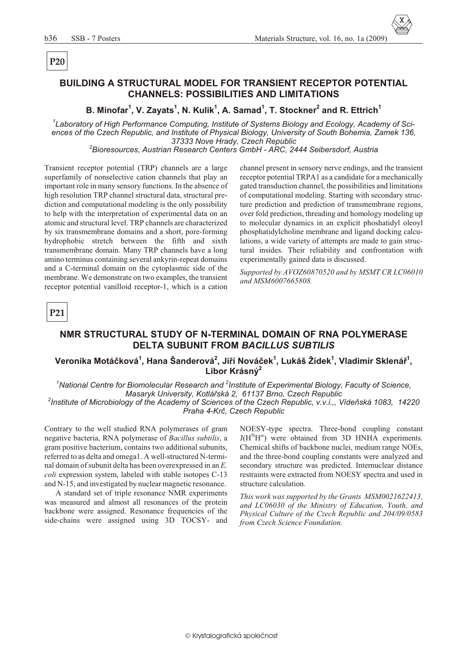# P<sub>20</sub>

# **BUILDING A STRUCTURAL MODEL FOR TRANSIENT RECEPTOR POTENTIAL CHANNELS: POSSIBILITIES AND LIMITATIONS**

B. Minofar<sup>1</sup>, V. Zayats<sup>1</sup>, N. Kulik<sup>1</sup>, A. Samad<sup>1</sup>, T. Stockner<sup>2</sup> and R. Ettrich<sup>1</sup>

<sup>1</sup>Laboratory of High Performance Computing, Institute of Systems Biology and Ecology, Academy of Sciences of the Czech Republic, and Institute of Physical Biology, University of South Bohemia, Zamek 136, 37333 Nove Hrady, Czech Republic

<sup>2</sup>Bioresources, Austrian Research Centers GmbH - ARC, 2444 Seibersdorf, Austria

Transient receptor potential (TRP) channels are a large superfamily of nonselective cation channels that play an important role in many sensory functions. In the absence of high resolution TRP channel structural data, structural prediction and computational modeling is the only possibility to help with the interpretation of experimental data on an atomic and structural level. TRP channels are characterized by six transmembrane domains and a short, pore-forming hydrophobic stretch between the fifth and sixth transmembrane domain. Many TRP channels have a long amino terminus containing several ankyrin-repeat domains and a C-terminal domain on the cytoplasmic side of the membrane. We demonstrate on two examples, the transient receptor potential vanilloid receptor-1, which is a cation

channel present in sensory nerve endings, and the transient receptor potential TRPA1 as a candidate for a mechanically gated transduction channel, the possibilities and limitations of computational modeling. Starting with secondary structure prediction and prediction of transmembrane regions, over fold prediction, threading and homology modeling up to molecular dynamics in an explicit phoshatidyl oleoyl phosphatidylcholine membrane and ligand docking calculations, a wide variety of attempts are made to gain structural insides. Their reliability and confrontation with experimentally gained data is discussed.

Supported by AVOZ60870520 and by MSMT CR LC06010 and MSM6007665808.



### NMR STRUCTURAL STUDY OF N-TERMINAL DOMAIN OF RNA POLYMERASE **DELTA SUBUNIT FROM BACILLUS SUBTILIS**

### Veronika Motáčková<sup>1</sup>, Hana Šanderová<sup>2</sup>, Jiří Nováček<sup>1</sup>, Lukáš Žídek<sup>1</sup>, Vladimír Sklenář<sup>1</sup>, Libor Krásný<sup>2</sup>

<sup>1</sup>National Centre for Biomolecular Research and <sup>2</sup>Institute of Experimental Biology, Faculty of Science, Masaryk University, Kotlářská 2, 61137 Brno, Czech Republic <sup>2</sup>Institute of Microbiology of the Academy of Sciences of the Czech Republic, v.v.i.,, Vídeňská 1083, 14220 Praha 4-Krč, Czech Republic

Contrary to the well studied RNA polymerases of gram negative bacteria, RNA polymerase of Bacillus subtilis, a gram positive bacterium, contains two additional subunits, referred to as delta and omega1. A well-structured N-terminal domain of subunit delta has been overexpressed in an E. coli expression system, labeled with stable isotopes C-13 and N-15, and investigated by nuclear magnetic resonance.

A standard set of triple resonance NMR experiments was measured and almost all resonances of the protein backbone were assigned. Resonance frequencies of the side-chains were assigned using 3D TOCSY- and

NOESY-type spectra. Three-bond coupling constant  $J(H^N H)$  were obtained from 3D HNHA experiments. Chemical shifts of backbone nuclei, medium range NOEs, and the three-bond coupling constants were analyzed and secondary structure was predicted. Internuclear distance restraints were extracted from NOESY spectra and used in structure calculation.

This work was supported by the Grants MSM0021622413, and LC06030 of the Ministry of Education, Youth, and Physical Culture of the Czech Republic and 204/09/0583 from Czech Science Foundation.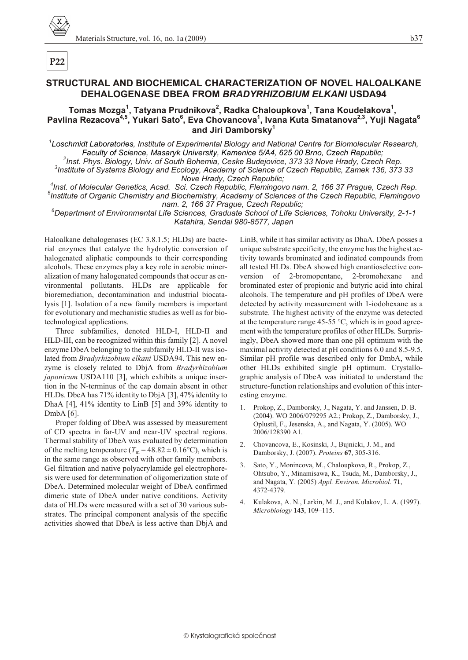# **STRUCTURAL AND BIOCHEMICAL CHARACTERIZATION OF NOVEL HALOALKANE DEHALOGENASE DBEA FROM** *BRADYRHIZOBIUM ELKANI* **USDA94**

### **Tomas Mozga<sup>1</sup> , Tatyana Prudnikova<sup>2</sup> , Radka Chaloupkova<sup>1</sup> , Tana Koudelakova<sup>1</sup> , Pavlina Rezacova4,5, Yukari Sato<sup>6</sup> , Eva Chovancova<sup>1</sup> , Ivana Kuta Smatanova2,3, Yuji Nagata<sup>6</sup> and Jiri Damborsky<sup>1</sup>**

<sup>1</sup> Loschmidt Laboratories, Institute of Experimental Biology and National Centre for Biomolecular Research, Faculty of Science, Masaryk University, Kamenice 5/A4, 625 00 Brno, Czech Republic,

<sup>2</sup> Inst. Phys. Biology, Univ. of South Bohemia, Ceske Budejovice, 373 33 Nove Hrady, Czech Rep.

<sup>3</sup> Institute of Systems Biology and Ecology, Academy of Science of Czech Republic, Zamek 136, 373 33 **Nove Hrady, Czech Republic;** 

<sup>4</sup> Inst. of Molecular Genetics, Acad. Sci. Czech Republic, Flemingovo nam. 2, 166 37 Prague, Czech Rep. <sup>5</sup> Institute of Organic Chemistry and Biochemistry, Academy of Sciences of the Czech Republic, Flemingovo nam. 2, 166 37 Prague, Czech Republic;

<sup>6</sup>Department of Environmental Life Sciences, Graduate School of Life Sciences, Tohoku University, 2-1-1 *Katahira, Sendai 980-8577, Ja pan*

Haloalkane dehalogenases (EC 3.8.1.5; HLDs) are bacterial enzymes that catalyze the hydrolytic conversion of halogenated aliphatic compounds to their corresponding al cohols. These enzymes play a key role in aerobic mineralization of many halogenated compounds that occur as environmental pollutants. HLDs are applicable for bioremediation, decontamination and industrial biocatalysis [1]. Isolation of a new family members is important for evolutionary and mechanistic studies as well as for biotechnological applications.

Three subfamilies, denoted HLD-I, HLD-II and HLD-III, can be recognized within this family [2]. A novel enzyme DbeA belonging to the subfamily HLD-II was isolated from *Bradyrhizobium elkani* USDA94. This new enzyme is closely related to DbjA from *Bradyrhizobium japonicum* USDA110 [3], which exhibits a unique insertion in the N-terminus of the cap domain absent in other HLDs. DbeA has 71% identity to DbjA [3], 47% identity to DhaA  $[4]$ , 41% identity to LinB  $[5]$  and 39% identity to DmbA [6].

Proper folding of DbeA was assessed by measurement of CD spectra in far-UV and near-UV spectral regions. Thermal stability of DbeA was evaluated by determination of the melting temperature ( $T_m = 48.82 \pm 0.16$ °C), which is in the same range as observed with other family members. Gel filtration and native polyacrylamide gel electrophoresis were used for determination of oligomerization state of DbeA. Determined molecular weight of DbeA confirmed dimeric state of DbeA under native conditions. Activity data of HLDs were measured with a set of 30 various substrates. The principal component analysis of the specific activities showed that DbeA is less active than DbjA and

LinB, while it has similar activity as DhaA. DbeA posses a unique sub strate specificity, the enzyme has the highest activity towards brominated and iodinated compounds from all tested HLDs. DbeA showed high enantioselective conversion of 2-bromopentane, 2-bromohexane and brominated ester of propionic and butyric acid into chiral alcohols. The temperature and pH profiles of DbeA were detected by activity measurement with 1-iodohexane as a sub strate. The highest activity of the enzyme was detected at the temperature range 45-55  $\degree$ C, which is in good agreement with the temperature profiles of other HLDs. Surprisingly, DbeA showed more than one pH optimum with the maximal activity detected at  $pH$  conditions 6.0 and 8.5-9.5. Similar pH profile was described only for DmbA, while other HLDs exhibited single pH optimum. Crystallographic analysis of DbeA was initiated to understand the structure-function relationships and evolution of this interesting enzyme.

- 1. Prokop, Z., Damborsky, J., Nagata, Y. and Janssen, D. B. (2004). WO 2006/079295 A2.; Prokop, Z., Damborsky, J., Oplustil, F., Jesenska, A., and Nagata, Y. (2005). WO 2006/128390 A1.
- 2. Chovancova, E., Kosinski, J., Bujnicki, J. M., and Damborsky, J. (2007). *Pro teins* **67**, 305-316.
- Sato, Y., Monincova, M., Chaloupkova, R., Prokop, Z., Ohtsubo, Y., Minamisawa, K., Tsuda, M., Damborsky, J., and Nagata, Y. (2005) *Appl. En vi ron. Microbiol.* **71**, 4372-4379.
- 4. Kulakova, A. N., Larkin, M. J., and Kulakov, L. A. (1997). *Mi cro bi ol ogy* **143**, 109–115.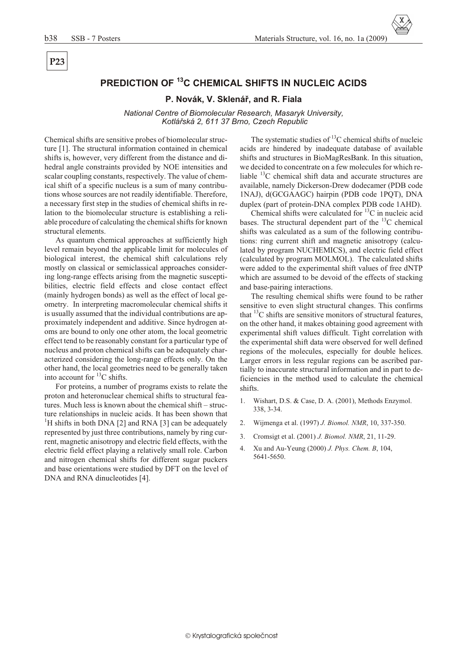P<sub>23</sub>

# PREDICTION OF <sup>13</sup>C CHEMICAL SHIFTS IN NUCLEIC ACIDS

#### P. Novák, V. Sklenář, and R. Fiala

National Centre of Biomolecular Research, Masaryk University, Kotlářská 2, 611 37 Brno, Czech Republic

Chemical shifts are sensitive probes of biomolecular structure [1]. The structural information contained in chemical shifts is, however, very different from the distance and dihedral angle constraints provided by NOE intensities and scalar coupling constants, respectively. The value of chemical shift of a specific nucleus is a sum of many contributions whose sources are not readily identifiable. Therefore, a necessary first step in the studies of chemical shifts in relation to the biomolecular structure is establishing a reliable procedure of calculating the chemical shifts for known structural elements.

As quantum chemical approaches at sufficiently high level remain beyond the applicable limit for molecules of biological interest, the chemical shift calculations rely mostly on classical or semiclassical approaches considering long-range effects arising from the magnetic susceptibilities, electric field effects and close contact effect (mainly hydrogen bonds) as well as the effect of local geometry. In interpreting macromolecular chemical shifts it is usually assumed that the individual contributions are approximately independent and additive. Since hydrogen atoms are bound to only one other atom, the local geometric effect tend to be reasonably constant for a particular type of nucleus and proton chemical shifts can be adequately characterized considering the long-range effects only. On the other hand, the local geometries need to be generally taken into account for <sup>13</sup>C shifts.

For proteins, a number of programs exists to relate the proton and heteronuclear chemical shifts to structural features. Much less is known about the chemical shift – structure relationships in nucleic acids. It has been shown that <sup>1</sup>H shifts in both DNA [2] and RNA [3] can be adequately represented by just three contributions, namely by ring current, magnetic anisotropy and electric field effects, with the electric field effect playing a relatively small role. Carbon and nitrogen chemical shifts for different sugar puckers and base orientations were studied by DFT on the level of DNA and RNA dinucleotides [4].

The systematic studies of  $^{13}$ C chemical shifts of nucleic acids are hindered by inadequate database of available shifts and structures in BioMagResBank. In this situation, we decided to concentrate on a few molecules for which reliable <sup>13</sup>C chemical shift data and accurate structures are available, namely Dickerson-Drew dodecamer (PDB code 1NAJ), d(GCGAAGC) hairpin (PDB code 1PQT), DNA duplex (part of protein-DNA complex PDB code 1AHD).

Chemical shifts were calculated for  ${}^{13}$ C in nucleic acid bases. The structural dependent part of the  ${}^{13}C$  chemical shifts was calculated as a sum of the following contributions: ring current shift and magnetic anisotropy (calculated by program NUCHEMICS), and electric field effect (calculated by program MOLMOL). The calculated shifts were added to the experimental shift values of free dNTP which are assumed to be devoid of the effects of stacking and base-pairing interactions.

The resulting chemical shifts were found to be rather sensitive to even slight structural changes. This confirms that  ${}^{13}C$  shifts are sensitive monitors of structural features, on the other hand, it makes obtaining good agreement with experimental shift values difficult. Tight correlation with the experimental shift data were observed for well defined regions of the molecules, especially for double helices. Larger errors in less regular regions can be ascribed partially to inaccurate structural information and in part to deficiencies in the method used to calculate the chemical shifts.

- $1.$ Wishart, D.S. & Case, D. A. (2001), Methods Enzymol. 338, 3-34.
- $2^{1}$ Wijmenga et al. (1997) J. Biomol. NMR, 10, 337-350.
- 3. Cromsigt et al. (2001) J. Biomol. NMR, 21, 11-29.
- $\overline{4}$ . Xu and Au-Yeung (2000) J. Phys. Chem. B, 104, 5641-5650.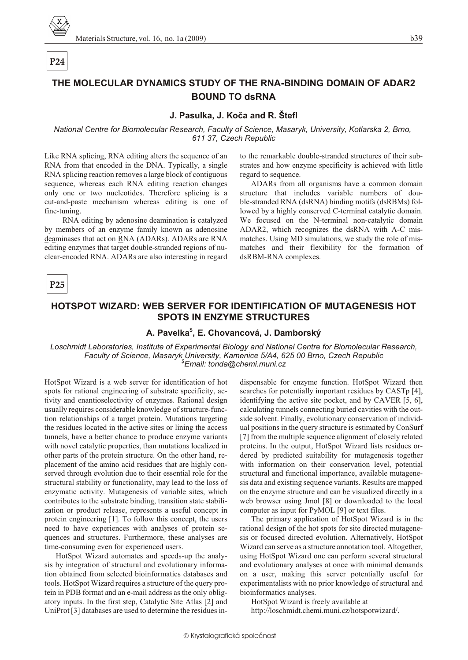# $P<sub>24</sub>$

# THE MOLECULAR DYNAMICS STUDY OF THE RNA-BINDING DOMAIN OF ADAR2 **BOUND TO dsRNA**

### J. Pasulka, J. Koča and R. Štefl

National Centre for Biomolecular Research, Faculty of Science, Masaryk, University, Kotlarska 2, Brno, 611 37, Czech Republic

Like RNA splicing, RNA editing alters the sequence of an RNA from that encoded in the DNA. Typically, a single RNA splicing reaction removes a large block of contiguous sequence, whereas each RNA editing reaction changes only one or two nucleotides. Therefore splicing is a cut-and-paste mechanism whereas editing is one of fine-tuning.

RNA editing by adenosine deamination is catalyzed by members of an enzyme family known as adenosine deaminases that act on RNA (ADARs). ADARs are RNA editing enzymes that target double-stranded regions of nuclear-encoded RNA. ADARs are also interesting in regard to the remarkable double-stranded structures of their substrates and how enzyme specificity is achieved with little regard to sequence.

ADARs from all organisms have a common domain structure that includes variable numbers of double-stranded RNA (dsRNA) binding motifs (dsRBMs) followed by a highly conserved C-terminal catalytic domain. We focused on the N-terminal non-catalytic domain ADAR2, which recognizes the dsRNA with A-C mismatches. Using MD simulations, we study the role of mismatches and their flexibility for the formation of dsRBM-RNA complexes.

P25

### HOTSPOT WIZARD: WEB SERVER FOR IDENTIFICATION OF MUTAGENESIS HOT **SPOTS IN ENZYME STRUCTURES**

# A. Pavelka<sup>\$</sup>, E. Chovancová, J. Damborský

Loschmidt Laboratories, Institute of Experimental Biology and National Centre for Biomolecular Research, Faculty of Science, Masaryk University, Kamenice 5/A4, 625 00 Brno, Czech Republic  $$E$ mail: tonda@chemi.muni.cz

HotSpot Wizard is a web server for identification of hot spots for rational engineering of substrate specificity, activity and enantioselectivity of enzymes. Rational design usually requires considerable knowledge of structure-function relationships of a target protein. Mutations targeting the residues located in the active sites or lining the access tunnels, have a better chance to produce enzyme variants with novel catalytic properties, than mutations localized in other parts of the protein structure. On the other hand, replacement of the amino acid residues that are highly conserved through evolution due to their essential role for the structural stability or functionality, may lead to the loss of enzymatic activity. Mutagenesis of variable sites, which contributes to the substrate binding, transition state stabilization or product release, represents a useful concept in protein engineering [1]. To follow this concept, the users need to have experiences with analyses of protein sequences and structures. Furthermore, these analyses are time-consuming even for experienced users.

HotSpot Wizard automates and speeds-up the analysis by integration of structural and evolutionary information obtained from selected bioinformatics databases and tools. HotSpot Wizard requires a structure of the query protein in PDB format and an e-mail address as the only obligatory inputs. In the first step, Catalytic Site Atlas [2] and UniProt [3] databases are used to determine the residues in-

dispensable for enzyme function. HotSpot Wizard then searches for potentially important residues by CASTp [4], identifying the active site pocket, and by CAVER [5, 6], calculating tunnels connecting buried cavities with the outside solvent. Finally, evolutionary conservation of individual positions in the query structure is estimated by ConSurf [7] from the multiple sequence alignment of closely related proteins. In the output, HotSpot Wizard lists residues ordered by predicted suitability for mutagenesis together with information on their conservation level, potential structural and functional importance, available mutagenesis data and existing sequence variants. Results are mapped on the enzyme structure and can be visualized directly in a web browser using Jmol [8] or downloaded to the local computer as input for PyMOL [9] or text files.

The primary application of HotSpot Wizard is in the rational design of the hot spots for site directed mutagenesis or focused directed evolution. Alternatively, HotSpot Wizard can serve as a structure annotation tool. Altogether, using HotSpot Wizard one can perform several structural and evolutionary analyses at once with minimal demands on a user, making this server potentially useful for experimentalists with no prior knowledge of structural and bioinformatics analyses.

HotSpot Wizard is freely available at http://loschmidt.chemi.muni.cz/hotspotwizard/.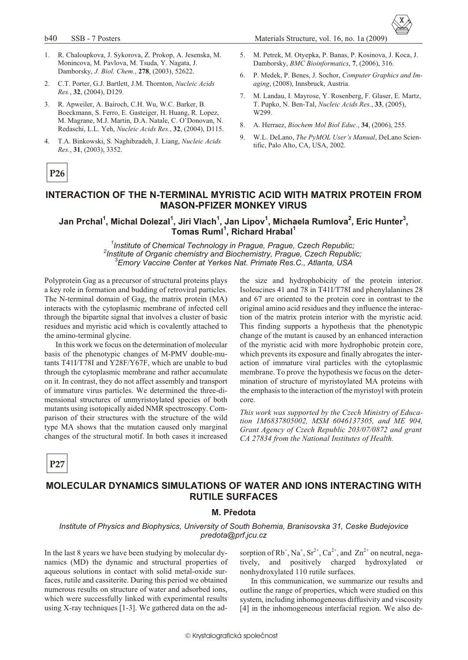b40 SSB - 7 Posters Materials Structure, vol. 16, no. 1a (2009)

- 1. R. Chaloupkova, J. Sykorova, Z. Prokop, A. Jesenska, M. Monincova, M. Pavlova, M. Tsuda, Y. Nagata, J. Damborsky, *J. Biol. Chem.*, **278**, (2003), 52622.
- 2. C.T. Porter, G.J. Bartlett, J.M. Thornton, *Nucleic Acids Res.*, **32**, (2004), D129.
- 3. R. Apweiler, A. Bairoch, C.H. Wu, W.C. Barker, B. Boeckmann, S. Ferro, E. Gasteiger, H. Huang, R. Lopez, M. Magrane, M.J. Martin, D.A. Natale, C. O'Donovan, N. Redaschi, L.L. Yeh, *Nu cleic Ac ids Res.*, **32**, (2004), D115.
- 4. T.A. Binkowski, S. Naghibzadeh, J. Liang, *Nucleic Acids Res.*, **31**, (2003), 3352.
- 5. M. Petrek, M. Otyepka, P. Banas, P. Kosinova, J. Koca, J. Damborsky, *BMC Bioinformatics*, **7**, (2006), 316.
- 6. P. Medek, P. Benes, J. Sochor, *Com puter Graphics and Im aging*, (2008), Innsbruck, Austria.
- 7. M. Landau, I. Mayrose, Y. Rosenberg, F. Glaser, E. Martz, T. Pupko, N. Ben-Tal, *Nu cleic Ac ids Res.*, **33**, (2005), W299.
- 8. A. Herraez, *Biochem Mol Biol Educ.*, **34**, (2006), 255.
- 9. W.L. DeLano, *The PyMOL User's Manual*, DeLano Scientific, Palo Alto, CA, USA, 2002.

# **P26**

### **INTERACTION OF THE N-TERMINAL MYRISTIC ACID WITH MATRIX PROTEIN FROM MASON-PFIZER MONKEY VIRUS**

### **Jan Prchal<sup>1</sup> , Michal Dolezal<sup>1</sup> , Jiri Vlach<sup>1</sup> , Jan Lipov<sup>1</sup> , Michaela Rumlova<sup>2</sup> , Eric Hunter<sup>3</sup> , Tomas Ruml<sup>1</sup> , Richard Hrabal<sup>1</sup>**

<sup>1</sup> Institute of Chemical Technology in Prague, Prague, Czech Republic; <sup>2</sup> Institute of Organic chemistry and Biochemistry, Prague, Czech Republic; *<sup>3</sup>Emory Vac cine Cen ter at Yerkes Nat. Pri mate Res.C., Atlanta, USA*

Polyprotein Gag as a precursor of structural proteins plays a key role in formation and budding of retroviral particles. The N-terminal domain of Gag, the matrix protein (MA) interacts with the cytoplasmic membrane of infected cell through the bipartite signal that involves a cluster of basic residues and myristic acid which is covalently attached to the amino-terminal glycine.

In this work we focus on the determination of molecular basis of the phenotypic changes of M-PMV double-mutants T41I/T78I and Y28F/Y67F, which are unable to bud through the cytoplasmic membrane and rather accumulate on it. In contrast, they do not affect assembly and transport of immature virus particles. We determined the three-dimensional structures of unmyristoylated species of both mutants using isotopically aided NMR spectroscopy. Comparison of their structures with the structure of the wild type MA shows that the mutation caused only marginal changes of the structural motif. In both cases it increased

the size and hydrophobicity of the protein interior. Isoleucines 41 and 78 in T41I/T78I and phenylalanines 28 and 67 are oriented to the protein core in contrast to the original amino acid residues and they influence the interaction of the matrix protein interior with the myristic acid. This finding supports a hypothesis that the phenotypic change of the mutant is caused by an enhanced interaction of the myristic acid with more hydrophobic protein core, which prevents its exposure and finally abrogates the interaction of immature viral particles with the cytoplasmic membrane. To prove the hypothesis we focus on the determination of structure of myristoylated MA proteins with the emphasis to the interaction of the myristoyl with protein core.

*This work was supported by the Czech Ministry of Education 1M6837805002, MSM 6046137305, and ME 904, Grant Agency of Czech Republic 203/07/0872 and grant* CA 27834 from the National Institutes of Health.

**P27**

# **MOLECULAR DYNAMICS SIMULATIONS OF WATER AND IONS INTERACTING WITH RUTILE SURFACES**

#### **M. Předota**

### *Institute of Physics and Biophysics, University of South Bohemia, Branisovska 31, Ceske Budejovice predota@prf.jcu.cz*

In the last 8 years we have been studying by molecular dynamics (MD) the dynamic and structural properties of aque ous solutions in contact with solid metal-oxide surfaces, rutile and cassiterite. During this period we obtained nu merous results on structure of water and adsorbed ions, which were successfully linked with experimental results using X-ray techniques  $[1-3]$ . We gathered data on the ad-

sorption of  $Rb^+$ , Na<sup>+</sup>, Sr<sup>2+</sup>, Ca<sup>2+</sup>, and  $Zn^{2+}$  on neutral, negatively, and positively charged hydroxylated or nonhydroxylated 110 rutile surfaces.

In this communication, we summarize our results and outline the range of properties, which were studied on this system, including inhomogeneous diffusivity and viscosity [4] in the inhomogeneous interfacial region. We also de-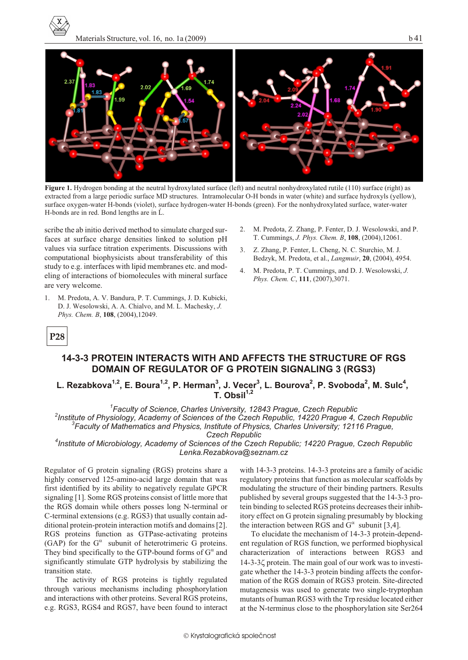



Figure 1. Hydrogen bonding at the neutral hydroxylated surface (left) and neutral nonhydroxylated rutile (110) surface (right) as extracted from a large periodic surface MD structures. Intramolecular O-H bonds in water (white) and surface hydroxyls (yellow), surface oxygen-water H-bonds (violet), surface hydrogen-water H-bonds (green). For the nonhydroxylated surface, water-water H-bonds are in red. Bond lengths are in L.

scribe the ab initio derived method to simulate charged surfaces at surface charge densities linked to solution pH values via surface titration experiments. Discussions with computational biophysicists about transferability of this study to e.g. interfaces with lipid membranes etc. and modeling of interactions of biomolecules with mineral surface are very welcome.

- 1. M. Predota, A. V. Bandura, P. T. Cummings, J. D. Kubicki, D. J. Wesolowski, A. A. Chialvo, and M. L. Machesky, J. Phys. Chem. B. 108, (2004).12049.
- M. Predota, Z. Zhang, P. Fenter, D. J. Wesolowski, and P.  $\mathcal{D}$ T. Cummings, J. Phys. Chem. B, 108, (2004), 12061.
- 3. Z. Zhang, P. Fenter, L. Cheng, N. C. Sturchio, M. J. Bedzyk, M. Predota, et al., Langmuir, 20, (2004), 4954.
- 4. M. Predota, P. T. Cummings, and D. J. Wesolowski, J. Phys. Chem. C, 111, (2007), 3071.

# P<sub>28</sub>

# 14-3-3 PROTEIN INTERACTS WITH AND AFFECTS THE STRUCTURE OF RGS **DOMAIN OF REGULATOR OF G PROTEIN SIGNALING 3 (RGS3)**

# L. Rezabkova<sup>1,2</sup>, E. Boura<sup>1,2</sup>, P. Herman<sup>3</sup>, J. Vecer<sup>3</sup>, L. Bourova<sup>2</sup>, P. Svoboda<sup>2</sup>, M. Sulc<sup>4</sup>,<br>T. Obsil<sup>1,2</sup>

 $^4$ Faculty of Science, Charles University, 12843 Prague, Czech Republic <sup>2</sup>Institute of Physiology, Academy of Sciences of the Czech Republic, 14220 Prague 4, Czech Republic <sup>3</sup>Faculty of Mathematics and Physics, Institute of Physics, Charles University; 12116 Praque, **Czech Republic** 

<sup>4</sup>Institute of Microbiology, Academy of Sciences of the Czech Republic; 14220 Prague, Czech Republic Lenka.Rezabkova@seznam.cz

Regulator of G protein signaling (RGS) proteins share a highly conserved 125-amino-acid large domain that was first identified by its ability to negatively regulate GPCR signaling [1]. Some RGS proteins consist of little more that the RGS domain while others posses long N-terminal or C-terminal extensions (e.g. RGS3) that usually contain additional protein-protein interaction motifs and domains [2]. RGS proteins function as GTPase-activating proteins (GAP) for the G subunit of heterotrimeric G proteins. They bind specifically to the GTP-bound forms of G and significantly stimulate GTP hydrolysis by stabilizing the transition state.

The activity of RGS proteins is tightly regulated through various mechanisms including phosphorylation and interactions with other proteins. Several RGS proteins, e.g. RGS3, RGS4 and RGS7, have been found to interact with 14-3-3 proteins. 14-3-3 proteins are a family of acidic regulatory proteins that function as molecular scaffolds by modulating the structure of their binding partners. Results published by several groups suggested that the 14-3-3 protein binding to selected RGS proteins decreases their inhibitory effect on G protein signaling presumably by blocking the interaction between RGS and G subunit [3,4].

To elucidate the mechanism of 14-3-3 protein-dependent regulation of RGS function, we performed biophysical characterization of interactions between RGS3 and 14-3-3 protein. The main goal of our work was to investigate whether the 14-3-3 protein binding affects the conformation of the RGS domain of RGS3 protein. Site-directed mutagenesis was used to generate two single-tryptophan mutants of human RGS3 with the Trp residue located either at the N-terminus close to the phosphorylation site Ser264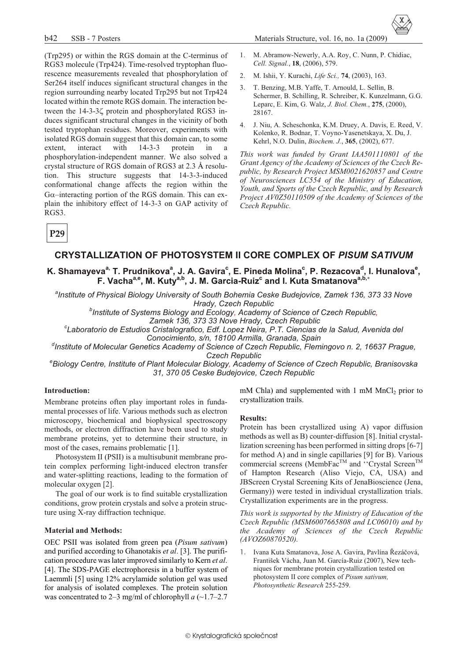Materials Structure, vol. 16, no. 1a (2009)

- (Trp295) or within the RGS domain at the C-terminus of RGS3 molecule (Trp424). Time-resolved tryptophan fluorescence measurements revealed that phosphorylation of Ser264 itself induces significant structural changes in the region surrounding nearby located Trp295 but not Trp424 located within the remote RGS domain. The interaction between the 14-3-3 protein and phosphorylated RGS3 induces significant structural changes in the vicinity of both tested tryptophan residues. Moreover, experiments with isolated RGS domain suggest that this domain can, to some extent. interact with  $14 - 3 - 3$ protein  $in$ a phosphorylation-independent manner. We also solved a crystal structure of RGS domain of RGS3 at 2.3 Å resolution. This structure suggests that 14-3-3-induced conformational change affects the region within the G -interacting portion of the RGS domain. This can explain the inhibitory effect of 14-3-3 on GAP activity of RGS3.
- M. Abramow-Newerly, A.A. Roy, C. Nunn, P. Chidiac,  $1.$ Cell. Signal., 18, (2006), 579.
- 2. M. Ishii, Y. Kurachi, Life Sci., 74, (2003), 163.
- T. Benzing, M.B. Yaffe, T. Arnould, L. Sellin, B.  $3<sub>1</sub>$ Schermer, B. Schilling, R. Schreiber, K. Kunzelmann, G.G. Leparc, E. Kim, G. Walz, J. Biol. Chem., 275, (2000), 28167.
- J. Niu, A. Scheschonka, K.M. Druey, A. Davis, E. Reed, V.  $4.$ Kolenko, R. Bodnar, T. Voyno-Yasenetskaya, X. Du, J. Kehrl, N.O. Dulin, Biochem. J., 365, (2002), 677.

This work was funded by Grant IAA501110801 of the Grant Agency of the Academy of Sciences of the Czech Republic, by Research Project MSM0021620857 and Centre of Neurosciences LC554 of the Ministry of Education, Youth, and Sports of the Czech Republic, and by Research Project AV0Z50110509 of the Academy of Sciences of the Czech Republic.

P<sub>29</sub>

### **CRYSTALLIZATION OF PHOTOSYSTEM II CORE COMPLEX OF PISUM SATIVUM**

### K. Shamayeva<sup>a,</sup> T. Prudnikova<sup>a</sup>, J. A. Gavira<sup>c</sup>, E. Pineda Molina<sup>c</sup>, P. Rezacova<sup>d</sup>, I. Hunalova<sup>e</sup>, F. Vacha<sup>a,e</sup>, M. Kuty<sup>a,b</sup>, J. M. Garcia-Ruiz<sup>c</sup> and I. Kuta Smatanova<sup>a,b,</sup>

<sup>a</sup>Institute of Physical Biology University of South Bohemia Ceske Budejovice, Zamek 136, 373 33 Nove Hrady, Czech Republic

<sup>b</sup>Institute of Systems Biology and Ecology, Academy of Science of Czech Republic,

Zamek 136, 373 33 Nove Hrady, Czech Republic

"Laboratorio de Estudios Cristalografico, Edf. Lopez Neira, P.T. Ciencias de la Salud, Avenida del Conocimiento, s/n, 18100 Armilla, Granada, Spain

dInstitute of Molecular Genetics Academy of Science of Czech Republic, Flemingovo n. 2, 16637 Prague, **Czech Republic** 

<sup>e</sup>Biology Centre, Institute of Plant Molecular Biology, Academy of Science of Czech Republic, Branisovska 31, 370 05 Ceske Budejovice, Czech Republic

#### **Introduction:**

Membrane proteins often play important roles in fundamental processes of life. Various methods such as electron microscopy, biochemical and biophysical spectroscopy methods, or electron diffraction have been used to study membrane proteins, yet to determine their structure, in most of the cases, remains problematic [1].

Photosystem II (PSII) is a multisubunit membrane protein complex performing light-induced electron transfer and water-splitting reactions, leading to the formation of molecular oxygen [2].

The goal of our work is to find suitable crystallization conditions, grow protein crystals and solve a protein structure using X-ray diffraction technique.

#### **Material and Methods:**

OEC PSII was isolated from green pea (Pisum sativum) and purified according to Ghanotakis et al. [3]. The purification procedure was later improved similarly to Kern et al. [4]. The SDS-PAGE electrophoresis in a buffer system of Laemmli [5] using 12% acrylamide solution gel was used for analysis of isolated complexes. The protein solution was concentrated to 2–3 mg/ml of chlorophyll a  $(\sim 1.7-2.7$ 

mM Chla) and supplemented with 1 mM MnCl<sub>2</sub> prior to crystallization trails.

#### **Results:**

Protein has been crystallized using A) vapor diffusion methods as well as B) counter-diffusion [8]. Initial crystallization screening has been performed in sitting drops [6-7] for method A) and in single capillaries [9] for B). Various commercial screens (MembFac<sup>™</sup> and "Crystal Screen<sup>™</sup> of Hampton Research (Aliso Viejo, CA, USA) and JBScreen Crystal Screening Kits of JenaBioscience (Jena, Germany)) were tested in individual crystallization trials. Crystallization experiments are in the progress.

This work is supported by the Ministry of Education of the Czech Republic (MSM6007665808 and LC06010) and by the Academy of Sciences of the Czech Republic (AVOZ60870520).

1. Ivana Kuta Smatanova, Jose A. Gavira, Pavlína Řezáčová, František Vácha, Juan M. García-Ruiz (2007), New techniques for membrane protein crystallization tested on photosystem II core complex of Pisum sativum, Photosynthetic Research 255-259.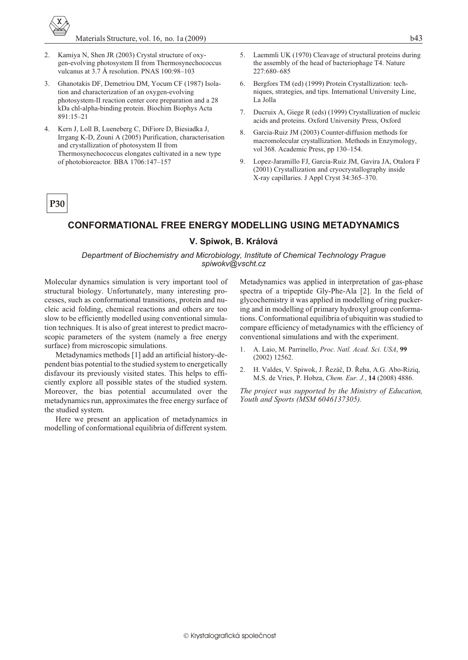- 2. Kamiya N, Shen JR (2003) Crystal structure of oxygen-evolving photosystem II from Thermosynechococcus vulcanus at  $3.7 \text{ Å}$  resolution. PNAS  $100:98-103$
- 3. Ghanotakis DF, Demetriou DM, Yocum CF (1987) Isolation and characterization of an oxygen-evolving photosystem-II reaction center core preparation and a 28 kDa chl-alpha-binding protein. Biochim Biophys Acta 891:15–21
- 4. Kern J, Loll B, Lueneberg C, DiFiore D, Biesiadka J, Irrgang K-D, Zouni A (2005) Purification, characterisation and crystallization of photosystem II from Thermosynechococcus elongates cultivated in a new type of photobioreactor. BBA 1706:147–157
- Laemmli UK (1970) Cleavage of structural proteins during the assembly of the head of bacteriophage T4. Nature 227:680–685
- 6. Bergfors TM (ed) (1999) Protein Crystallization: techniques, strategies, and tips. International University Line, La Jolla
- 7. Ducruix A, Giege R (eds) (1999) Crystallization of nucleic acids and proteins. Oxford University Press, Oxford
- 8. Garcia-Ruiz JM (2003) Counter-diffusion methods for macromolecular crystallization. Methods in Enzymology, vol 368. Academic Press, pp 130-154.
- 9. Lopez-Jaramillo FJ, Garcia-Ruiz JM, Gavira JA, Otalora F (2001) Crystallization and cryocrystallography inside X-ray capillaries. J Appl Cryst 34:365-370.

### **CONFORMATIONAL FREE ENERGY MODELLING USING METADYNAMICS**

#### **V. Spiwok, B. Králová**

#### *Department of Biochemistry and Microbiology, Institute of Chemical Technology Prague spiwokv@vscht.cz*

Molecular dynamics simulation is very important tool of structural biology. Unfortunately, many interesting processes, such as conformational transitions, protein and nucleic acid folding, chemical reactions and others are too slow to be efficiently modelled using conventional simulation techniques. It is also of great interest to predict macroscopic parameters of the system (namely a free energy surface) from microscopic simulations.

Metadynamics methods [1] add an artificial history-dependent bias potential to the studied system to energetically dis fa vour its previously visited states. This helps to efficiently explore all possible states of the studied system. Moreover, the bias potential accumulated over the metadynamics run, approximates the free energy surface of the studied system.

Here we present an application of metadynamics in modelling of conformational equilibria of different system.

Metadynamics was applied in interpretation of gas-phase spectra of a tripeptide Gly-Phe-Ala [2]. In the field of glycochemistry it was applied in modelling of ring puckering and in modelling of primary hydroxyl group conformations. Conformational equilibria of ubiquitin was studied to compare efficiency of metadynamics with the efficiency of conventional simulations and with the experiment.

- 1. A. Laio, M. Parrinello, *Proc. Natl. Acad. Sci. USA*, **99** (2002) 12562.
- 2. H. Valdes, V. Spiwok, J. Øezáè, D. Øeha, A.G. Abo-Riziq, M.S. de Vries, P. Hobza, *Chem. Eur. J.*, **14** (2008) 4886.

*The project was supported by the Ministry of Education, Youth and Sports (MSM 6046137305).*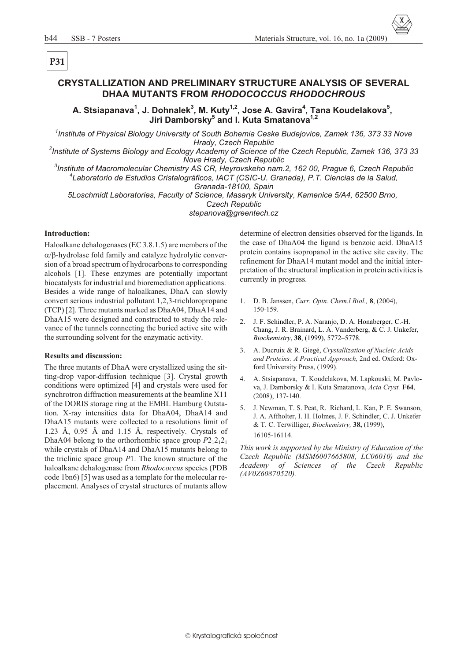## **CRYSTALLIZATION AND PRELIMINARY STRUCTURE ANALYSIS OF SEVERAL** DHAA MUTANTS FROM RHODOCOCCUS RHODOCHROUS

A. Stsiapanava<sup>1</sup>, J. Dohnalek<sup>3</sup>, M. Kuty<sup>1,2</sup>, Jose A. Gavira<sup>4</sup>, Tana Koudelakova<sup>5</sup>, Jiri Damborsky<sup>5</sup> and I. Kuta Smatanova<sup>1,2</sup>

Institute of Physical Biology University of South Bohemia Ceske Budejovice, Zamek 136, 373 33 Nove Hrady, Czech Republic

<sup>2</sup>Institute of Systems Biology and Ecology Academy of Science of the Czech Republic, Zamek 136, 373 33 Nove Hrady, Czech Republic

<sup>3</sup>Institute of Macromolecular Chemistry AS CR, Heyrovskeho nam.2, 162 00, Prague 6, Czech Republic <sup>4</sup>Laboratorio de Estudios Cristalográficos, IACT (CSIC-U, Granada), P.T. Ciencias de la Salud. Granada-18100, Spain

5Loschmidt Laboratories, Faculty of Science, Masaryk University, Kamenice 5/A4, 62500 Brno, **Czech Republic** 

stepanova@greentech.cz

#### **Introduction:**

Haloalkane dehalogenases (EC 3.8.1.5) are members of the

-hydrolase fold family and catalyze hydrolytic conversion of a broad spectrum of hydrocarbons to corresponding alcohols [1]. These enzymes are potentially important biocatalysts for industrial and bioremediation applications. Besides a wide range of haloalkanes, DhaA can slowly convert serious industrial pollutant 1,2,3-trichloropropane (TCP) [2]. Three mutants marked as DhaA04, DhaA14 and DhaA15 were designed and constructed to study the relevance of the tunnels connecting the buried active site with the surrounding solvent for the enzymatic activity.

#### **Results and discussion:**

The three mutants of DhaA were crystallized using the sitting-drop vapor-diffusion technique [3]. Crystal growth conditions were optimized [4] and crystals were used for synchrotron diffraction measurements at the beamline X11 of the DORIS storage ring at the EMBL Hamburg Outstation. X-ray intensities data for DhaA04, DhaA14 and DhaA15 mutants were collected to a resolutions limit of 1.23 Å, 0.95 Å and 1.15 Å, respectively. Crystals of DhaA04 belong to the orthorhombic space group  $P2_12_12_1$ while crystals of DhaA14 and DhaA15 mutants belong to the triclinic space group  $P1$ . The known structure of the haloalkane dehalogenase from Rhodococcus species (PDB code 1bn6) [5] was used as a template for the molecular replacement. Analyses of crystal structures of mutants allow

determine of electron densities observed for the ligands. In the case of DhaA04 the ligand is benzoic acid. DhaA15 protein contains isopropanol in the active site cavity. The refinement for DhaA14 mutant model and the initial interpretation of the structural implication in protein activities is currently in progress.

- D. B. Janssen, Curr. Opin. Chem.l Biol., 8, (2004),  $1<sup>1</sup>$  $150 - 159$ .
- 2. J. F. Schindler, P. A. Naranjo, D. A. Honaberger, C.-H. Chang, J. R. Brainard, L. A. Vanderberg, & C. J. Unkefer, Biochemistry, 38, (1999), 5772-5778.
- A. Ducruix & R. Giegé, Crystallization of Nucleic Acids  $\mathfrak{Z}$ . and Proteins: A Practical Approach, 2nd ed. Oxford: Oxford University Press, (1999).
- $4.$ A. Stsiapanava, T. Koudelakova, M. Lapkouski, M. Pavlova, J. Damborsky & I. Kuta Smatanova, Acta Cryst. F64,  $(2008), 137-140.$
- 5. J. Newman, T. S. Peat, R. Richard, L. Kan, P. E. Swanson, J. A. Affholter, I. H. Holmes, J. F. Schindler, C. J. Unkefer & T. C. Terwilliger, Biochemistry, 38, (1999), 16105-16114.

This work is supported by the Ministry of Education of the Czech Republic (MSM6007665808, LC06010) and the Academy of Sciences of the Czech Republic  $(AV0Z60870520).$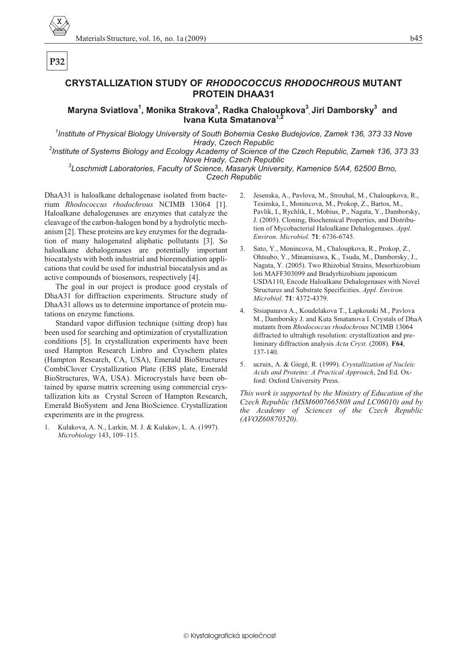# **CRYSTALLIZATION STUDY OF RHODOCOCCUS RHODOCHROUS MUTANT PROTEIN DHAA31**

Maryna Sviatlova<sup>1</sup>, Monika Strakova<sup>3</sup>, Radka Chaloupkova<sup>3</sup> Jiri Damborsky<sup>3</sup> and Ivana Kuta Smatanova<sup>1,2</sup>

Institute of Physical Biology University of South Bohemia Ceske Budejovice, Zamek 136, 373 33 Nove<sup>1</sup> Hrady, Czech Republic

<sup>2</sup>Institute of Systems Biology and Ecology Academy of Science of the Czech Republic, Zamek 136, 373 33 Nove Hrady, Czech Republic

<sup>3</sup>Loschmidt Laboratories, Faculty of Science, Masaryk University, Kamenice 5/A4, 62500 Brno, **Czech Republic** 

DhaA31 is haloalkane dehalogenase isolated from bacterium Rhodococcus rhodochrous NCIMB 13064 [1]. Haloalkane dehalogenases are enzymes that catalyze the cleavage of the carbon-halogen bond by a hydrolytic mechanism [2]. These proteins are key enzymes for the degradation of many halogenated aliphatic pollutants [3]. So haloalkane dehalogenases are potentially important biocatalysts with both industrial and bioremediation applications that could be used for industrial biocatalysis and as active compounds of biosensors, respectively [4].

The goal in our project is produce good crystals of DhaA31 for diffraction experiments. Structure study of DhaA31 allows us to determine importance of protein mutations on enzyme functions.

Standard vapor diffusion technique (sitting drop) has been used for searching and optimization of crystallization conditions [5]. In crystallization experiments have been used Hampton Research Linbro and Cryschem plates (Hampton Research, CA, USA), Emerald BioStructures CombiClover Crystallization Plate (EBS plate, Emerald BioStructures, WA, USA). Microcrystals have been obtained by sparse matrix screening using commercial crystallization kits as Crystal Screen of Hampton Research, Emerald BioSystem and Jena BioScience. Crystallization experiments are in the progress.

1. Kulakova, A. N., Larkin, M. J. & Kulakov, L. A. (1997). Microbiology 143, 109-115.

- Jesenska, A., Pavlova, M., Strouhal, M., Chaloupkova, R.,  $\mathcal{D}$ Tesinska, I., Monincova, M., Prokop, Z., Bartos, M., Pavlik, I., Rychlik, I., Mobius, P., Nagata, Y., Damborsky, J. (2005). Cloning, Biochemical Properties, and Distribution of Mycobacterial Haloalkane Dehalogenases. Appl. Environ. Microbiol. 71: 6736-6745.
- $\mathcal{E}$ Sato, Y., Monincova, M., Chaloupkova, R., Prokop, Z., Ohtsubo, Y., Minamisawa, K., Tsuda, M., Damborsky, J., Nagata, Y. (2005). Two Rhizobial Strains, Mesorhizobium loti MAFF303099 and Bradyrhizobium japonicum USDA110, Encode Haloalkane Dehalogenases with Novel Structures and Substrate Specificities. Appl. Environ. Microbiol. 71: 4372-4379.
- 4. Stsiapanava A., Koudelakova T., Lapkouski M., Pavlova M., Damborsky J. and Kuta Smatanova I. Crystals of DhaA mutants from Rhodococcus rhodochrous NCIMB 13064 diffracted to ultrahigh resolution: crystallization and preliminary diffraction analysis Acta Cryst. (2008). F64, 137-140.
- ucruix, A. & Giegé, R. (1999). Crystallization of Nucleic 5. Acids and Proteins: A Practical Approach, 2nd Ed. Oxford: Oxford University Press.

This work is supported by the Ministry of Education of the Czech Republic (MSM6007665808 and LC06010) and by the Academy of Sciences of the Czech Republic  $(AVOZ60870520).$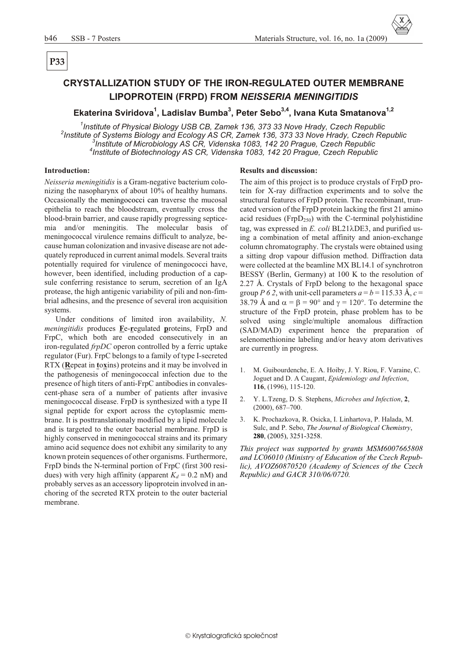# P<sub>33</sub>

# **CRYSTALLIZATION STUDY OF THE IRON-REGULATED OUTER MEMBRANE** LIPOPROTEIN (FRPD) FROM NEISSERIA MENINGITIDIS

### Ekaterina Sviridova<sup>1</sup>, Ladislav Bumba<sup>3</sup>, Peter Sebo<sup>3,4</sup>, Ivana Kuta Smatanova<sup>1,2</sup>

<sup>1</sup>Institute of Physical Biology USB CB, Zamek 136, 373 33 Nove Hrady, Czech Republic <sup>2</sup>Institute of Systems Biology and Ecology AS CR, Zamek 136, 373 33 Nove Hrady, Czech Republic <sup>3</sup>Institute of Microbiology AS CR, Videnska 1083, 142 20 Prague, Czech Republic <sup>4</sup>Institute of Biotechnology AS CR, Videnska 1083, 142 20 Prague, Czech Republic

#### **Introduction:**

Neisseria meningitidis is a Gram-negative bacterium colonizing the nasopharynx of about 10% of healthy humans. Occasionally the meningococci can traverse the mucosal epithelia to reach the bloodstream, eventually cross the blood-brain barrier, and cause rapidly progressing septicemia and/or meningitis. The molecular basis of meningococcal virulence remains difficult to analyze, because human colonization and invasive disease are not adequately reproduced in current animal models. Several traits potentially required for virulence of meningococci have, however, been identified, including production of a capsule conferring resistance to serum, secretion of an IgA protease, the high antigenic variability of pili and non-fimbrial adhesins, and the presence of several iron acquisition systems.

Under conditions of limited iron availability, N. *meningitidis* produces **F**e-regulated proteins, FrpD and FrpC, which both are encoded consecutively in an iron-regulated frpDC operon controlled by a ferric uptake regulator (Fur). FrpC belongs to a family of type I-secreted RTX (Repeat in toxins) proteins and it may be involved in the pathogenesis of meningococcal infection due to the presence of high titers of anti-FrpC antibodies in convalescent-phase sera of a number of patients after invasive meningococcal disease. FrpD is synthesized with a type II signal peptide for export across the cytoplasmic membrane. It is posttranslationaly modified by a lipid molecule and is targeted to the outer bacterial membrane. FrpD is highly conserved in meningococcal strains and its primary amino acid sequence does not exhibit any similarity to any known protein sequences of other organisms. Furthermore, FrpD binds the N-terminal portion of FrpC (first 300 residues) with very high affinity (apparent  $K_d = 0.2$  nM) and probably serves as an accessory lipoprotein involved in anchoring of the secreted RTX protein to the outer bacterial membrane.

#### **Results and discussion:**

The aim of this project is to produce crystals of FrpD protein for X-ray diffraction experiments and to solve the structural features of FrpD protein. The recombinant, truncated version of the FrpD protein lacking the first 21 amino acid residues ( $FrpD_{250}$ ) with the C-terminal polyhistidine tag, was expressed in E. coli BL21 DE3, and purified using a combination of metal affinity and anion-exchange column chromatography. The crystals were obtained using a sitting drop vapour diffusion method. Diffraction data were collected at the beamline MX BL14.1 of synchrotron BESSY (Berlin, Germany) at 100 K to the resolution of 2.27 Å. Crystals of FrpD belong to the hexagonal space group P 6 2, with unit-cell parameters  $a = b = 115.33$  Å,  $c =$ 38.79 Å and  $= 90^{\circ}$  and  $= 120^{\circ}$ . To determine the structure of the FrpD protein, phase problem has to be solved using single/multiple anomalous diffraction (SAD/MAD) experiment hence the preparation of selenomethionine labeling and/or heavy atom derivatives are currently in progress.

- M. Guibourdenche, E. A. Hoiby, J. Y. Riou, F. Varaine, C.  $1.$ Joguet and D. A Caugant, Epidemiology and Infection, 116, (1996), 115-120.
- Y. L.Tzeng, D. S. Stephens, Microbes and Infection, 2, 2.  $(2000), 687 - 700.$
- K. Prochazkova, R. Osicka, I. Linhartova, P. Halada, M. Sulc, and P. Sebo, The Journal of Biological Chemistry, 280, (2005), 3251-3258.

This project was supported by grants MSM6007665808 and LC06010 (Ministry of Education of the Czech Republic), AVOZ60870520 (Academy of Sciences of the Czech Republic) and GACR 310/06/0720.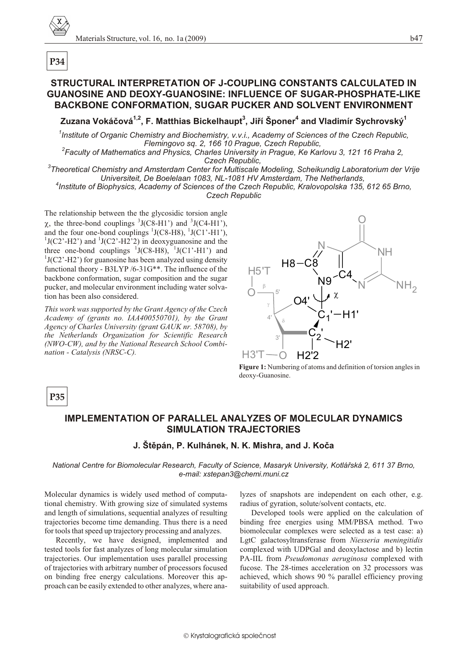# **STRUCTURAL INTERPRETATION OF J-COUPLING CONSTANTS CALCULATED IN GUANOSINE AND DEOXY-GUANOSINE: INFLUENCE OF SUGAR-PHOSPHATE-LIKE BACKBONE CONFORMATION, SUGAR PUCKER AND SOLVENT ENVIRONMENT**

**Zuzana Vokáèová1,2, F. Matthias Bickelhaupt<sup>3</sup> , Jiøí Šponer<sup>4</sup> and Vladimír Sychrovský<sup>1</sup>**

<sup>1</sup> Institute of Organic Chemistry and Biochemistry, v.v.i., Academy of Sciences of the Czech Republic, *Flemingovo sq. 2, 166 10 Prague, Czech Republic,* 

<sup>2</sup> Faculty of Mathematics and Physics, Charles University in Prague, Ke Karlovu 3, 121 16 Praha 2, **Czech Republic,** 

<sup>3</sup>Theoretical Chemistry and Amsterdam Center for Multiscale Modeling, Scheikundig Laboratorium der Vrije *Universiteit, De Boelelaan 1083, NL-1081 HV Amsterdam, The Netherlands,* <sup>4</sup> Institute of Biophysics, Academy of Sciences of the Czech Republic, Kralovopolska 135, 612 65 Brno,

*Czech Republic*

The relationship between the the glycosidic torsion angle , the three-bond couplings  $3J(C8-H1')$  and  $3J(C4-H1')$ , and the four one-bond couplings  ${}^{1}$ J(C8-H8),  ${}^{1}$ J(C1'-H1'),  $1J(C2'$ -H2') and  $1J(C2'$ -H2'2) in deoxyguanosine and the three one-bond couplings  $\frac{1}{J(C8-H8)}$ ,  $\frac{1}{J(C1'-H1')}$  and  $1J(C2' - H2')$  for guanosine has been analyzed using density functional theory - B3LYP /6-31G\*\*. The influence of the backbone conformation, sugar composition and the sugar pucker, and molecular environment including water solvation has been also considered.

*This work was sup ported by the Grant Agency of the Czech Acad emy of (grants no. IAA400550701), by the Grant* Agency of Charles University (grant GAUK nr. 58708), by *the Netherlands Organization for Scientific Research (NWO-CW), and by the Na tional Research School Com bi nation - Catalysis (NRSC-C).* 



**Figure 1:** Numbering of atoms and definition of torsion angles in deoxy-Guanosine.

# **P35**

# **IMPLEMENTATION OF PARALLEL ANALYZES OF MOLECULAR DYNAMICS SIMULATION TRAJECTORIES**

### **J. Štìpán, P. Kulhánek, N. K. Mishra, and J. Koèa**

*Na tional Cen tre for Biomolecular Re search, Fac ulty of Sci ence, Masaryk Uni ver sity, Kotláøská 2, 611 37 Brno, e-mail: xstepan3@chemi.muni.cz*

Molecular dynamics is widely used method of computational chemistry. With growing size of simulated systems and length of simulations, sequential analyzes of resulting trajectories become time demanding. Thus there is a need for tools that speed up trajectory processing and analyzes.

Recently, we have designed, implemented and tested tools for fast analyzes of long molecular simulation trajectories. Our implementation uses parallel processing of trajectories with arbitrary number of processors focused on binding free energy calculations. Moreover this approach can be easily extended to other analyzes, where ana-

lyzes of snapshots are independent on each other, e.g. radius of gyration, solute/solvent contacts, etc.

Developed tools were applied on the calculation of binding free energies using MM/PBSA method. Two biomolecular complexes were selected as a test case: a) LgtC galactosyltransferase from *Niesseria meningitidis* complexed with UDPGal and deoxylactose and b) lectin PA-IIL from *Pseudomonas aeruginosa* complexed with fucose. The 28-times acceleration on 32 processors was achieved, which shows 90 % parallel efficiency proving suitability of used approach.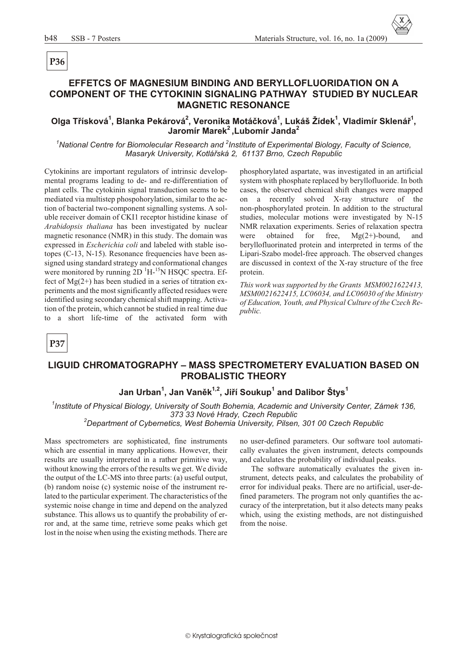# P<sub>36</sub>

# EFFETCS OF MAGNESIUM BINDING AND BERYLLOFLUORIDATION ON A **COMPONENT OF THE CYTOKININ SIGNALING PATHWAY STUDIED BY NUCLEAR MAGNETIC RESONANCE**

# Olga Třísková<sup>1</sup>, Blanka Pekárová<sup>2</sup>, Veronika Motáčková<sup>1</sup>, Lukáš Žídek<sup>1</sup>, Vladimír Sklenář<sup>1</sup>, Jaromír Marek<sup>2</sup>, Lubomír Janda<sup>2</sup>

<sup>1</sup>National Centre for Biomolecular Research and <sup>2</sup>Institute of Experimental Biology, Faculty of Science, Masaryk University, Kotlářská 2, 61137 Brno, Czech Republic

Cytokinins are important regulators of intrinsic developmental programs leading to de- and re-differentiation of plant cells. The cytokinin signal transduction seems to be mediated via multistep phospohorylation, similar to the action of bacterial two-component signalling systems. A soluble receiver domain of CKI1 receptor histidine kinase of Arabidopsis thaliana has been investigated by nuclear magnetic resonance (NMR) in this study. The domain was expressed in *Escherichia coli* and labeled with stable isotopes (C-13, N-15). Resonance frequencies have been assigned using standard strategy and conformational changes were monitored by running  $2D<sup>1</sup>H<sup>-15</sup>N$  HSQC spectra. Effect of  $Mg(2+)$  has been studied in a series of titration experiments and the most significantly affected residues were identified using secondary chemical shift mapping. Activation of the protein, which cannot be studied in real time due to a short life-time of the activated form with

phosphorylated aspartate, was investigated in an artificial system with phosphate replaced by beryllofluoride. In both cases, the observed chemical shift changes were mapped on a recently solved X-ray structure of the non-phosphorylated protein. In addition to the structural studies, molecular motions were investigated by N-15 NMR relaxation experiments. Series of relaxation spectra were obtained for free.  $Mg(2+)$ -bound, and beryllofluorinated protein and interpreted in terms of the Lipari-Szabo model-free approach. The observed changes are discussed in context of the X-ray structure of the free protein.

This work was supported by the Grants MSM0021622413, MSM0021622415, LC06034, and LC06030 of the Ministry of Education, Youth, and Physical Culture of the Czech Re*public.* 

# **P37**

# **LIGUID CHROMATOGRAPHY - MASS SPECTROMETERY EVALUATION BASED ON PROBALISTIC THEORY**

### Jan Urban<sup>1</sup>, Jan Vaněk<sup>1,2</sup>, Jiří Soukup<sup>1</sup> and Dalibor Štys<sup>1</sup>

<sup>1</sup>Institute of Physical Biology, University of South Bohemia, Academic and University Center, Zámek 136, 373 33 Nové Hrady, Czech Republic

<sup>2</sup>Department of Cybernetics, West Bohemia University, Pilsen, 301 00 Czech Republic

Mass spectrometers are sophisticated, fine instruments which are essential in many applications. However, their results are usually interpreted in a rather primitive way. without knowing the errors of the results we get. We divide the output of the LC-MS into three parts: (a) useful output, (b) random noise (c) systemic noise of the instrument related to the particular experiment. The characteristics of the systemic noise change in time and depend on the analyzed substance. This allows us to quantify the probability of error and, at the same time, retrieve some peaks which get lost in the noise when using the existing methods. There are

no user-defined parameters. Our software tool automatically evaluates the given instrument, detects compounds and calculates the probability of individual peaks.

The software automatically evaluates the given instrument, detects peaks, and calculates the probability of error for individual peaks. There are no artificial, user-defined parameters. The program not only quantifies the accuracy of the interpretation, but it also detects many peaks which, using the existing methods, are not distinguished from the noise.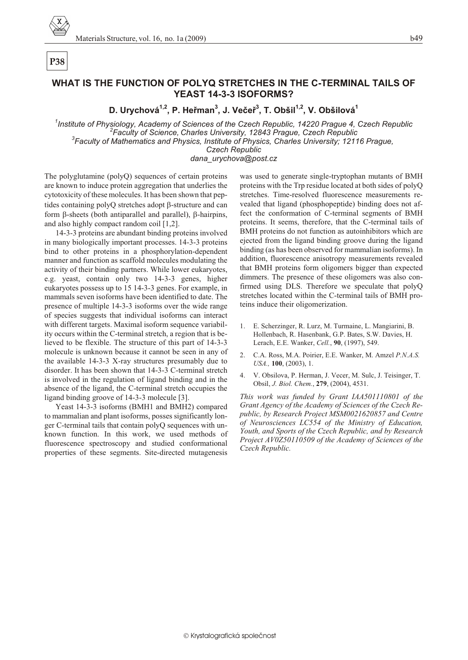# P<sub>38</sub>

# WHAT IS THE FUNCTION OF POLYO STRETCHES IN THE C-TERMINAL TAILS OF YEAST 14-3-3 ISOFORMS?

D. Urychová<sup>1,2</sup>, P. Heřman<sup>3</sup>, J. Večeř<sup>3</sup>, T. Obšil<sup>1,2</sup>, V. Obšilová<sup>1</sup>

<sup>1</sup>Institute of Physiology, Academy of Sciences of the Czech Republic, 14220 Prague 4, Czech Republic <sup>2</sup>Faculty of Science, Charles University, 12843 Prague, Czech Republic <sup>3</sup>Faculty of Mathematics and Physics, Institute of Physics, Charles University; 12116 Prague, Czech Republic

dana urychova@post.cz

The polyglutamine (polyQ) sequences of certain proteins are known to induce protein aggregation that underlies the cytotoxicity of these molecules. It has been shown that peptides containing polyQ stretches adopt -structure and can form -sheets (both antiparallel and parallel), -hairpins, and also highly compact random coil  $[1,2]$ .

14-3-3 proteins are abundant binding proteins involved in many biologically important processes. 14-3-3 proteins bind to other proteins in a phosphorylation-dependent manner and function as scaffold molecules modulating the activity of their binding partners. While lower eukaryotes, e.g. yeast, contain only two 14-3-3 genes, higher eukaryotes possess up to 15 14-3-3 genes. For example, in mammals seven isoforms have been identified to date. The presence of multiple 14-3-3 isoforms over the wide range of species suggests that individual isoforms can interact with different targets. Maximal isoform sequence variability occurs within the C-terminal stretch, a region that is believed to be flexible. The structure of this part of 14-3-3 molecule is unknown because it cannot be seen in any of the available 14-3-3 X-ray structures presumably due to disorder. It has been shown that 14-3-3 C-terminal stretch is involved in the regulation of ligand binding and in the absence of the ligand, the C-terminal stretch occupies the ligand binding groove of 14-3-3 molecule [3].

Yeast 14-3-3 isoforms (BMH1 and BMH2) compared to mammalian and plant isoforms, posses significantly longer C-terminal tails that contain polyQ sequences with unknown function. In this work, we used methods of fluorescence spectroscopy and studied conformational properties of these segments. Site-directed mutagenesis

was used to generate single-tryptophan mutants of BMH proteins with the Trp residue located at both sides of polyQ stretches. Time-resolved fluorescence measurements revealed that ligand (phosphopeptide) binding does not affect the conformation of C-terminal segments of BMH proteins. It seems, therefore, that the C-terminal tails of BMH proteins do not function as autoinhibitors which are ejected from the ligand binding groove during the ligand binding (as has been observed for mammalian isoforms). In addition, fluorescence anisotropy measurements revealed that BMH proteins form oligomers bigger than expected dimmers. The presence of these oligomers was also confirmed using DLS. Therefore we speculate that polyQ stretches located within the C-terminal tails of BMH proteins induce their oligomerization.

- 1. E. Scherzinger, R. Lurz, M. Turmaine, L. Mangiarini, B. Hollenbach, R. Hasenbank, G.P. Bates, S.W. Davies, H. Lerach, E.E. Wanker, Cell., 90, (1997), 549.
- $2.$ C.A. Ross, M.A. Poirier, E.E. Wanker, M. Amzel P.N.A.S. USA., 100, (2003), 1.
- V. Obsilova, P. Herman, J. Vecer, M. Sulc, J. Teisinger, T.  $4.$ Obsil, J. Biol. Chem., 279, (2004), 4531.

This work was funded by Grant IAA501110801 of the Grant Agency of the Academy of Sciences of the Czech Republic, by Research Project MSM0021620857 and Centre of Neurosciences LC554 of the Ministry of Education, Youth, and Sports of the Czech Republic, and by Research Project AV0Z50110509 of the Academy of Sciences of the Czech Republic.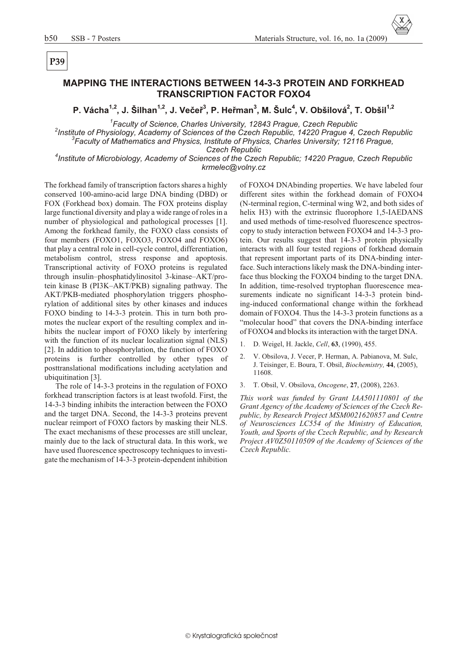### **MAPPING THE INTERACTIONS BETWEEN 14-3-3 PROTEIN AND FORKHEAD TRANSCRIPTION FACTOR FOXO4**

**P. Vácha1,2, J. Šilhan1,2, J. Veèeø<sup>3</sup> , P. Heøman<sup>3</sup> , M. Šulc<sup>4</sup> , V. Obšilová<sup>2</sup> , T. Obšil1,2**

<sup>1</sup> Faculty of Science, Charles University, 12843 Prague, Czech Republic

<sup>2</sup> Institute of Physiology, Academy of Sciences of the Czech Republic, 14220 Prague 4, Czech Republic <sup>3</sup> Faculty of Mathematics and Physics, Institute of Physics, Charles University; 12116 Prague,

**Czech Republic** 

<sup>4</sup> Institute of Microbiology, Academy of Sciences of the Czech Republic; 14220 Prague, Czech Republic *krmelec@volny.cz*

The forkhead family of transcription factors shares a highly conserved 100-amino-acid large DNA binding (DBD) or FOX (Forkhead box) domain. The FOX proteins display large functional diversity and play a wide range of roles in a number of physiological and pathological processes [1]. Among the forkhead family, the FOXO class consists of four members (FOXO1, FOXO3, FOXO4 and FOXO6) that play a central role in cell-cycle control, differentiation, metabolism control, stress response and apoptosis. Transcriptional activity of FOXO proteins is regulated through insulin–phosphatidylinositol 3-kinase–AKT/protein kinase B ( $PI3K-AKT/PKB$ ) signaling pathway. The AKT/PKB-mediated phosphorylation triggers phosphorylation of additional sites by other kinases and induces FOXO binding to 14-3-3 protein. This in turn both promotes the nuclear export of the resulting complex and inhibits the nuclear import of FOXO likely by interfering with the function of its nuclear localization signal (NLS) [2]. In addition to phosphorylation, the function of  $FOXO$ proteins is further controlled by other types of posttranslational modifications including acetylation and ubiquitination [3].

The role of 14-3-3 proteins in the regulation of FOXO forkhead transcription factors is at least twofold. First, the 14-3-3 binding inhibits the interaction between the FOXO and the target DNA. Second, the 14-3-3 proteins prevent nuclear reimport of FOXO factors by masking their NLS. The exact mechanisms of these processes are still unclear, mainly due to the lack of structural data. In this work, we have used fluorescence spectroscopy techniques to investigate the mechanism of 14-3-3 protein-dependent inhibition of FOXO4 DNAbinding properties. We have labeled four different sites within the forkhead domain of FOXO4  $(N$ -terminal region,  $C$ -terminal wing W2, and both sides of helix  $H3$ ) with the extrinsic fluorophore 1,5-IAEDANS and used methods of time-resolved fluorescence spectroscopy to study interaction between FOXO4 and 14-3-3 protein. Our results suggest that 14-3-3 protein physically interacts with all four tested regions of forkhead domain that represent important parts of its DNA-binding interface. Such interactions likely mask the DNA-binding interface thus blocking the FOXO4 binding to the target DNA. In addition, time-resolved tryptophan fluorescence measurements indicate no significant 14-3-3 protein binding-in duced conformational change within the forkhead domain of FOXO4. Thus the 14-3-3 protein functions as a "molecular hood" that covers the DNA-binding interface" of FOXO4 and blocks its interaction with the target DNA.

- 1. D. Weigel, H. Jackle, *Cell*, **63**, (1990), 455.
- 2. V. Obsilova, J. Vecer, P. Herman, A. Pabianova, M. Sulc, J. Teisinger, E. Boura, T. Obsil, *Bio chem is try,* **44**, (2005), 11608.
- 3. T. Obsil, V. Obsilova, *Onco gene*, **27**, (2008), 2263.

*This work was funded by Grant IAA501110801 of the* Grant Agency of the Academy of Sciences of the Czech Republic, by Research Project MSM0021620857 and Centre *of Neurosciences LC554 of the Ministry of Education, Youth, and Sports of the Czech Republic, and by Research* Project AV0Z50110509 of the Academy of Sciences of the *Czech Re pub lic.*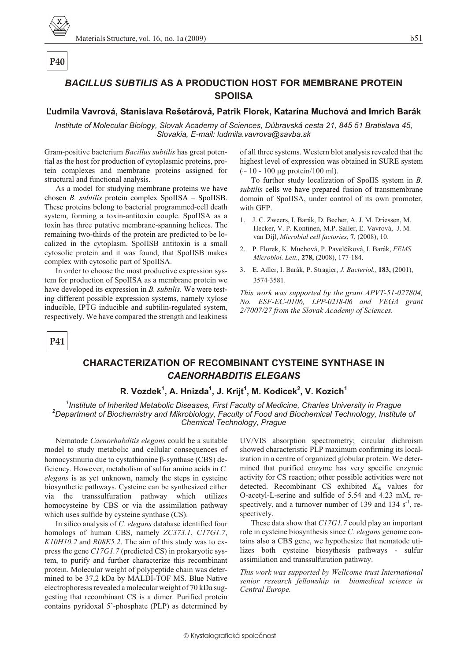# **BACILLUS SUBTILIS AS A PRODUCTION HOST FOR MEMBRANE PROTEIN SPOIISA**

### Ľudmila Vavrová, Stanislava Rešetárová, Patrik Florek, Katarína Muchová and Imrich Barák

Institute of Molecular Biology, Slovak Academy of Sciences, Dúbravská cesta 21, 845 51 Bratislava 45, Slovakia, E-mail: ludmila.vavrova@savba.sk

Gram-positive bacterium Bacillus subtilis has great potential as the host for production of cytoplasmic proteins, protein complexes and membrane proteins assigned for structural and functional analysis.

As a model for studying membrane proteins we have chosen  $B$ . *subtilis* protein complex SpoIISA  $-$  SpoIISB. These proteins belong to bacterial programmed-cell death system, forming a toxin-antitoxin couple. SpoIISA as a toxin has three putative membrane-spanning helices. The remaining two-thirds of the protein are predicted to be localized in the cytoplasm. SpoIISB antitoxin is a small cytosolic protein and it was found, that SpoIISB makes complex with cytosolic part of SpoIISA.

In order to choose the most productive expression system for production of SpoIISA as a membrane protein we have developed its expression in  $B$ . *subtilis*. We were testing different possible expression systems, namely xylose inducible, IPTG inducible and subtilin-regulated system, respectively. We have compared the strength and leakiness

of all three systems. Western blot analysis revealed that the highest level of expression was obtained in SURE system  $($  ~ 10 - 100 g protein/100 ml).

To further study localization of SpoIIS system in  $B$ . subtilis cells we have prepared fusion of transmembrane domain of SpoIISA, under control of its own promoter, with GFP.

- 1. J. C. Zweers, I. Barák, D. Becher, A. J. M. Driessen, M. Hecker, V. P. Kontinen, M.P. Saller, L. Vavrová, J. M. van Dijl, Microbial cell factories, 7, (2008), 10.
- 2. P. Florek, K. Muchová, P. Pavelčíková, I. Barák, FEMS Microbiol. Lett., 278, (2008), 177-184.
- 3. E. Adler, I. Barák, P. Stragier, J. Bacteriol., 183, (2001), 3574-3581.

This work was supported by the grant APVT-51-027804, No. ESF-EC-0106, LPP-0218-06 and VEGA grant 2/7007/27 from the Slovak Academy of Sciences.

P41

# **CHARACTERIZATION OF RECOMBINANT CYSTEINE SYNTHASE IN CAENORHABDITIS ELEGANS**

# R. Vozdek<sup>1</sup>, A. Hnizda<sup>1</sup>, J. Krijt<sup>1</sup>, M. Kodicek<sup>2</sup>, V. Kozich<sup>1</sup>

<sup>1</sup>Institute of Inherited Metabolic Diseases, First Faculty of Medicine, Charles University in Prague <sup>2</sup>Department of Biochemistry and Mikrobiology, Faculty of Food and Biochemical Technology, Institute of Chemical Technology, Prague

Nematode Caenorhabditis elegans could be a suitable model to study metabolic and cellular consequences of homocystinuria due to cystathionine -synthase (CBS) deficiency. However, metabolism of sulfur amino acids in C. *elegans* is as yet unknown, namely the steps in cysteine biosynthetic pathways. Cysteine can be synthesized either via the transsulfuration pathway which utilizes homocysteine by CBS or via the assimilation pathway which uses sulfide by cysteine synthase (CS).

In silico analysis of C. elegans database identified four homologs of human CBS, namely ZC373.1, C17G1.7,  $K10H10.2$  and  $R08E5.2$ . The aim of this study was to express the gene C17G1.7 (predicted CS) in prokaryotic system, to purify and further characterize this recombinant protein. Molecular weight of polypeptide chain was determined to be 37,2 kDa by MALDI-TOF MS. Blue Native electrophoresis revealed a molecular weight of 70 kDa suggesting that recombinant CS is a dimer. Purified protein contains pyridoxal 5'-phosphate (PLP) as determined by UV/VIS absorption spectrometry; circular dichroism showed characteristic PLP maximum confirming its localization in a centre of organized globular protein. We determined that purified enzyme has very specific enzymic activity for CS reaction; other possible activities were not detected. Recombinant CS exhibited  $K_m$  values for O-acetyl-L-serine and sulfide of 5.54 and 4.23 mM, respectively, and a turnover number of 139 and 134  $s^{-1}$ , respectively.

These data show that C17G1.7 could play an important role in cysteine biosynthesis since C. elegans genome contains also a CBS gene, we hypothesize that nematode utilizes both cysteine biosythesis pathways - sulfur assimilation and transsulfuration pathway.

This work was supported by Wellcome trust International senior research fellowship in biomedical science in Central Europe.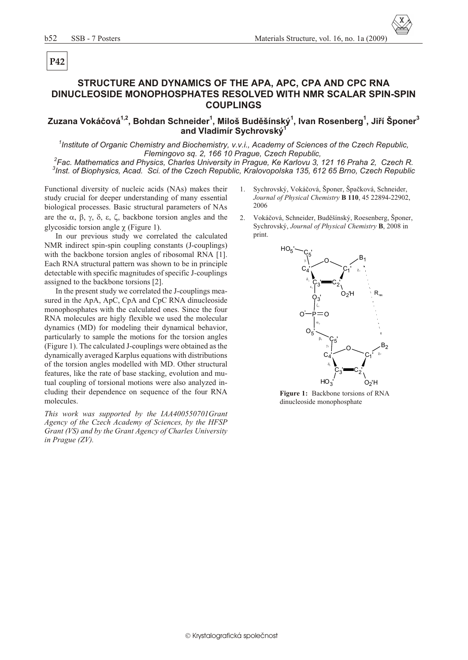# STRUCTURE AND DYNAMICS OF THE APA, APC, CPA AND CPC RNA DINUCLEOSIDE MONOPHOSPHATES RESOLVED WITH NMR SCALAR SPIN-SPIN **COUPLINGS**

Zuzana Vokáčová<sup>1,2</sup>, Bohdan Schneider<sup>1</sup>, Miloš Buděšínský<sup>1</sup>, Ivan Rosenberg<sup>1</sup>, Jiří Šponer<sup>3</sup> and Vladimír Sychrovský

<sup>1</sup>Institute of Organic Chemistry and Biochemistry, v.v.i., Academy of Sciences of the Czech Republic, Flemingovo sq. 2, 166 10 Prague, Czech Republic,

 ${}^{2}$ Fac. Mathematics and Physics, Charles University in Prague, Ke Karlovu 3, 121 16 Praha 2, Czech R. <sup>3</sup>Inst. of Biophysics, Acad. Sci. of the Czech Republic, Kralovopolska 135, 612 65 Brno, Czech Republic

Functional diversity of nucleic acids (NAs) makes their study crucial for deeper understanding of many essential biological processes. Basic structural parameters of NAs are the , backbone torsion angles and the glycosidic torsion angle (Figure 1).

In our previous study we correlated the calculated NMR indirect spin-spin coupling constants (J-couplings) with the backbone torsion angles of ribosomal RNA [1]. Each RNA structural pattern was shown to be in principle. detectable with specific magnitudes of specific J-couplings assigned to the backbone torsions [2].

In the present study we correlated the J-couplings measured in the ApA, ApC, CpA and CpC RNA dinucleoside monophosphates with the calculated ones. Since the four RNA molecules are higly flexible we used the molecular dynamics (MD) for modeling their dynamical behavior, particularly to sample the motions for the torsion angles (Figure 1). The calculated J-couplings were obtained as the dynamically averaged Karplus equations with distributions of the torsion angles modelled with MD. Other structural features, like the rate of base stacking, evolution and mutual coupling of torsional motions were also analyzed including their dependence on sequence of the four RNA molecules.

This work was supported by the IAA400550701Grant Agency of the Czech Academy of Sciences, by the HFSP Grant (VS) and by the Grant Agency of Charles University in Prague (ZV).

- 1. Sychrovský, Vokáčová, Šponer, Špačková, Schneider, Journal of Physical Chemistry B 110, 45 22894-22902, 2006
- $2.$ Vokáčová, Schneider, Buděšínský, Roesenberg, Šponer, Sychrovský, Journal of Physical Chemistry B, 2008 in print.



Figure 1: Backbone torsions of RNA dinucleoside monophosphate